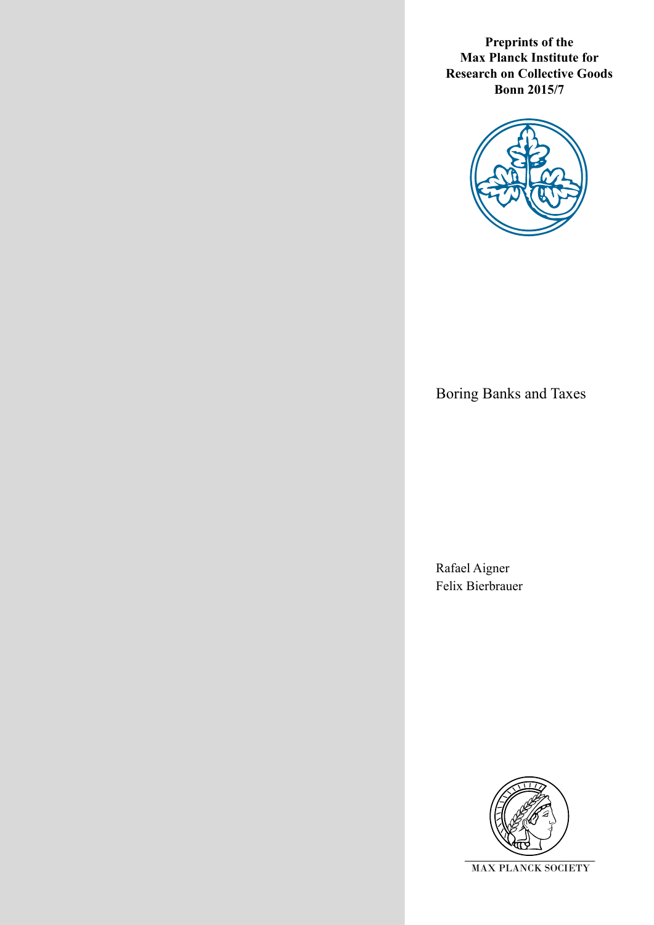**Preprints of the Max Planck Institute for Research on Collective Goods Bonn 2015/7**



Boring Banks and Taxes

Rafael Aigner Felix Bierbrauer

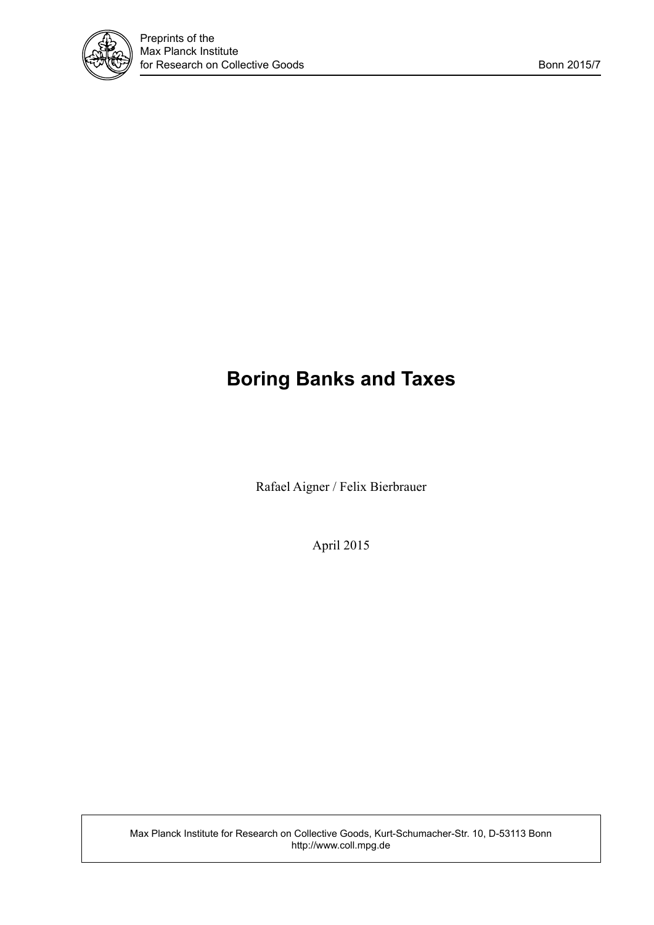

# **Boring Banks and Taxes**

Rafael Aigner / Felix Bierbrauer

April 2015

Max Planck Institute for Research on Collective Goods, Kurt-Schumacher-Str. 10, D-53113 Bonn http://www.coll.mpg.de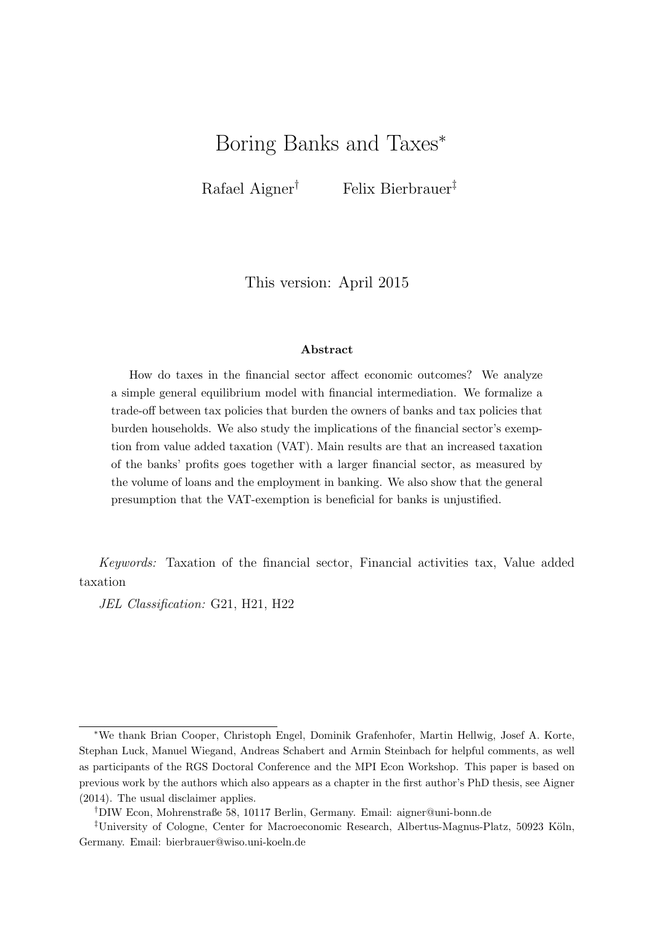# Boring Banks and Taxes<sup>∗</sup>

Rafael Aigner† Felix Bierbrauer‡

This version: April 2015

#### Abstract

How do taxes in the financial sector affect economic outcomes? We analyze a simple general equilibrium model with financial intermediation. We formalize a trade-off between tax policies that burden the owners of banks and tax policies that burden households. We also study the implications of the financial sector's exemption from value added taxation (VAT). Main results are that an increased taxation of the banks' profits goes together with a larger financial sector, as measured by the volume of loans and the employment in banking. We also show that the general presumption that the VAT-exemption is beneficial for banks is unjustified.

Keywords: Taxation of the financial sector, Financial activities tax, Value added taxation

JEL Classification: G21, H21, H22

<sup>∗</sup>We thank Brian Cooper, Christoph Engel, Dominik Grafenhofer, Martin Hellwig, Josef A. Korte, Stephan Luck, Manuel Wiegand, Andreas Schabert and Armin Steinbach for helpful comments, as well as participants of the RGS Doctoral Conference and the MPI Econ Workshop. This paper is based on previous work by the authors which also appears as a chapter in the first author's PhD thesis, see Aigner (2014). The usual disclaimer applies.

<sup>†</sup>DIW Econ, Mohrenstraße 58, 10117 Berlin, Germany. Email: aigner@uni-bonn.de

<sup>&</sup>lt;sup>‡</sup>University of Cologne, Center for Macroeconomic Research, Albertus-Magnus-Platz, 50923 Köln, Germany. Email: bierbrauer@wiso.uni-koeln.de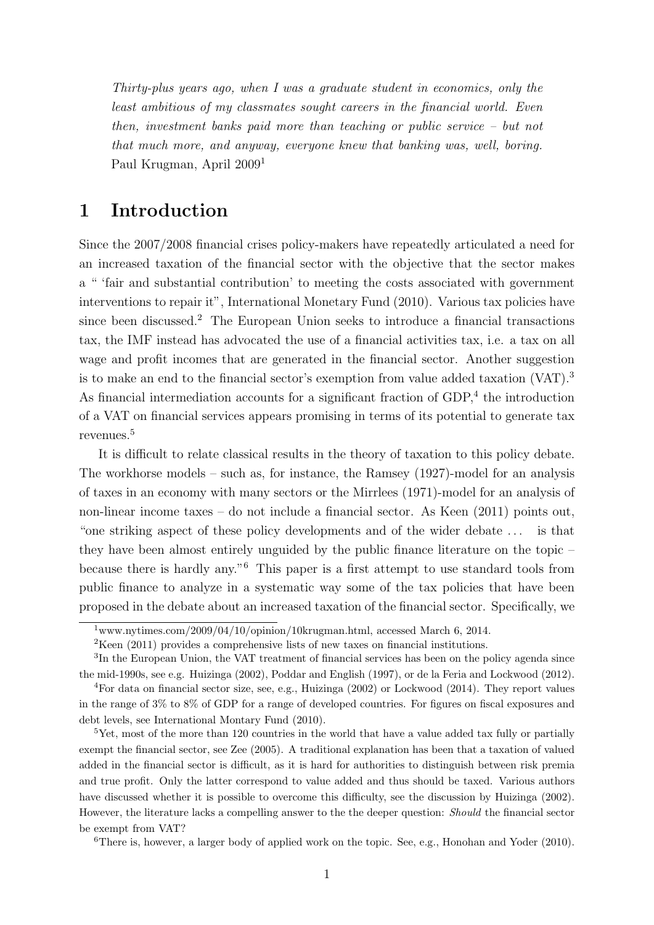Thirty-plus years ago, when I was a graduate student in economics, only the least ambitious of my classmates sought careers in the financial world. Even then, investment banks paid more than teaching or public service – but not that much more, and anyway, everyone knew that banking was, well, boring. Paul Krugman, April 2009[1](#page-3-0)

### 1 Introduction

Since the 2007/2008 financial crises policy-makers have repeatedly articulated a need for an increased taxation of the financial sector with the objective that the sector makes a " 'fair and substantial contribution' to meeting the costs associated with government interventions to repair it", International Monetary Fund (2010). Various tax policies have since been discussed.[2](#page-3-1) The European Union seeks to introduce a financial transactions tax, the IMF instead has advocated the use of a financial activities tax, i.e. a tax on all wage and profit incomes that are generated in the financial sector. Another suggestion is to make an end to the financial sector's exemption from value added taxation (VAT).[3](#page-3-2) As financial intermediation accounts for a significant fraction of  $GDP<sub>i</sub><sup>4</sup>$  $GDP<sub>i</sub><sup>4</sup>$  $GDP<sub>i</sub><sup>4</sup>$  the introduction of a VAT on financial services appears promising in terms of its potential to generate tax revenues.[5](#page-3-4)

It is difficult to relate classical results in the theory of taxation to this policy debate. The workhorse models – such as, for instance, the Ramsey (1927)-model for an analysis of taxes in an economy with many sectors or the Mirrlees (1971)-model for an analysis of non-linear income taxes – do not include a financial sector. As Keen (2011) points out, "one striking aspect of these policy developments and of the wider debate . . . is that they have been almost entirely unguided by the public finance literature on the topic – because there is hardly any."[6](#page-3-5) This paper is a first attempt to use standard tools from public finance to analyze in a systematic way some of the tax policies that have been proposed in the debate about an increased taxation of the financial sector. Specifically, we

<span id="page-3-5"></span> ${}^{6}$ There is, however, a larger body of applied work on the topic. See, e.g., Honohan and Yoder (2010).

<span id="page-3-0"></span> $\frac{1}{1}$ www.nytimes.com/2009/04/10/opinion/10krugman.html, accessed March 6, 2014.

<span id="page-3-2"></span><span id="page-3-1"></span><sup>&</sup>lt;sup>2</sup>Keen (2011) provides a comprehensive lists of new taxes on financial institutions.

<sup>&</sup>lt;sup>3</sup>In the European Union, the VAT treatment of financial services has been on the policy agenda since the mid-1990s, see e.g. Huizinga (2002), Poddar and English (1997), or de la Feria and Lockwood (2012).

<span id="page-3-3"></span><sup>4</sup>For data on financial sector size, see, e.g., Huizinga (2002) or Lockwood (2014). They report values in the range of 3% to 8% of GDP for a range of developed countries. For figures on fiscal exposures and debt levels, see International Montary Fund (2010).

<span id="page-3-4"></span> $5$ Yet, most of the more than 120 countries in the world that have a value added tax fully or partially exempt the financial sector, see Zee (2005). A traditional explanation has been that a taxation of valued added in the financial sector is difficult, as it is hard for authorities to distinguish between risk premia and true profit. Only the latter correspond to value added and thus should be taxed. Various authors have discussed whether it is possible to overcome this difficulty, see the discussion by Huizinga (2002). However, the literature lacks a compelling answer to the the deeper question: Should the financial sector be exempt from VAT?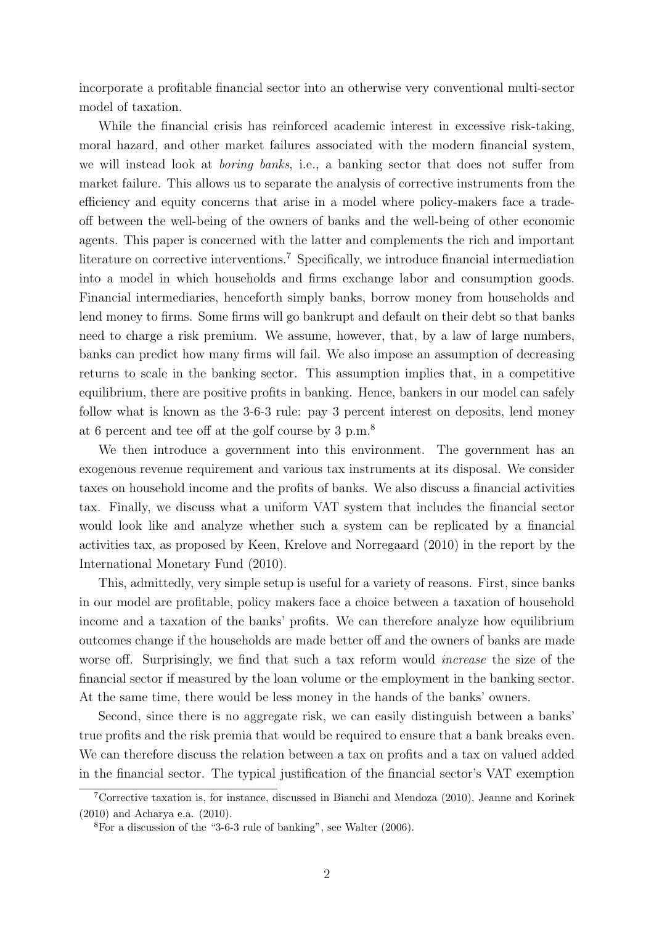incorporate a profitable financial sector into an otherwise very conventional multi-sector model of taxation.

While the financial crisis has reinforced academic interest in excessive risk-taking, moral hazard, and other market failures associated with the modern financial system, we will instead look at boring banks, i.e., a banking sector that does not suffer from market failure. This allows us to separate the analysis of corrective instruments from the efficiency and equity concerns that arise in a model where policy-makers face a tradeoff between the well-being of the owners of banks and the well-being of other economic agents. This paper is concerned with the latter and complements the rich and important literature on corrective interventions.<sup>[7](#page-4-0)</sup> Specifically, we introduce financial intermediation into a model in which households and firms exchange labor and consumption goods. Financial intermediaries, henceforth simply banks, borrow money from households and lend money to firms. Some firms will go bankrupt and default on their debt so that banks need to charge a risk premium. We assume, however, that, by a law of large numbers, banks can predict how many firms will fail. We also impose an assumption of decreasing returns to scale in the banking sector. This assumption implies that, in a competitive equilibrium, there are positive profits in banking. Hence, bankers in our model can safely follow what is known as the 3-6-3 rule: pay 3 percent interest on deposits, lend money at 6 percent and tee off at the golf course by 3 p.m.[8](#page-4-1)

We then introduce a government into this environment. The government has an exogenous revenue requirement and various tax instruments at its disposal. We consider taxes on household income and the profits of banks. We also discuss a financial activities tax. Finally, we discuss what a uniform VAT system that includes the financial sector would look like and analyze whether such a system can be replicated by a financial activities tax, as proposed by Keen, Krelove and Norregaard (2010) in the report by the International Monetary Fund (2010).

This, admittedly, very simple setup is useful for a variety of reasons. First, since banks in our model are profitable, policy makers face a choice between a taxation of household income and a taxation of the banks' profits. We can therefore analyze how equilibrium outcomes change if the households are made better off and the owners of banks are made worse off. Surprisingly, we find that such a tax reform would *increase* the size of the financial sector if measured by the loan volume or the employment in the banking sector. At the same time, there would be less money in the hands of the banks' owners.

Second, since there is no aggregate risk, we can easily distinguish between a banks' true profits and the risk premia that would be required to ensure that a bank breaks even. We can therefore discuss the relation between a tax on profits and a tax on valued added in the financial sector. The typical justification of the financial sector's VAT exemption

<span id="page-4-0"></span><sup>7</sup>Corrective taxation is, for instance, discussed in Bianchi and Mendoza (2010), Jeanne and Korinek (2010) and Acharya e.a. (2010).

<span id="page-4-1"></span><sup>8</sup>For a discussion of the "3-6-3 rule of banking", see Walter (2006).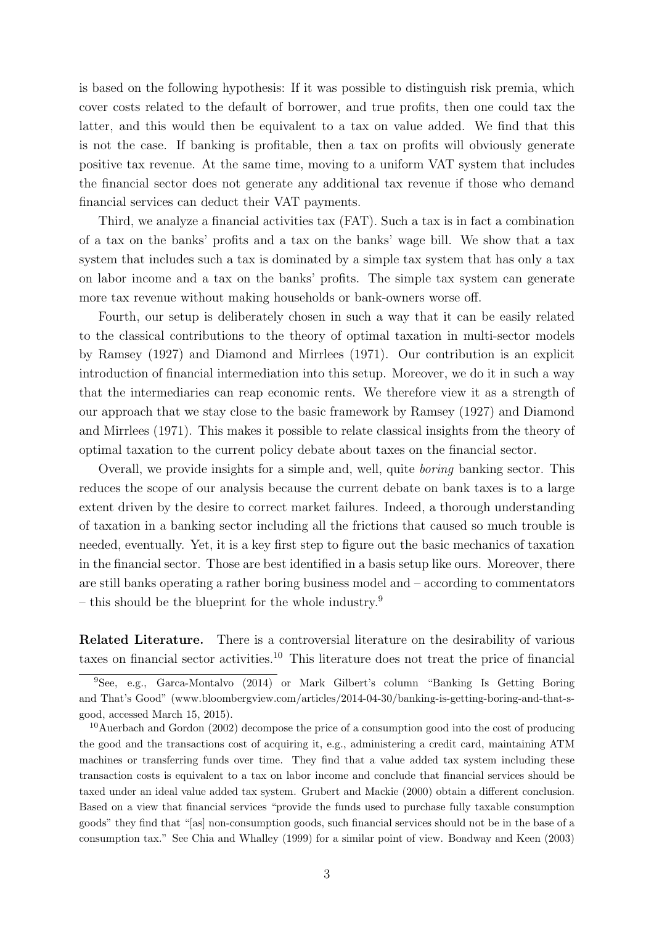is based on the following hypothesis: If it was possible to distinguish risk premia, which cover costs related to the default of borrower, and true profits, then one could tax the latter, and this would then be equivalent to a tax on value added. We find that this is not the case. If banking is profitable, then a tax on profits will obviously generate positive tax revenue. At the same time, moving to a uniform VAT system that includes the financial sector does not generate any additional tax revenue if those who demand financial services can deduct their VAT payments.

Third, we analyze a financial activities tax (FAT). Such a tax is in fact a combination of a tax on the banks' profits and a tax on the banks' wage bill. We show that a tax system that includes such a tax is dominated by a simple tax system that has only a tax on labor income and a tax on the banks' profits. The simple tax system can generate more tax revenue without making households or bank-owners worse off.

Fourth, our setup is deliberately chosen in such a way that it can be easily related to the classical contributions to the theory of optimal taxation in multi-sector models by Ramsey (1927) and Diamond and Mirrlees (1971). Our contribution is an explicit introduction of financial intermediation into this setup. Moreover, we do it in such a way that the intermediaries can reap economic rents. We therefore view it as a strength of our approach that we stay close to the basic framework by Ramsey (1927) and Diamond and Mirrlees (1971). This makes it possible to relate classical insights from the theory of optimal taxation to the current policy debate about taxes on the financial sector.

Overall, we provide insights for a simple and, well, quite boring banking sector. This reduces the scope of our analysis because the current debate on bank taxes is to a large extent driven by the desire to correct market failures. Indeed, a thorough understanding of taxation in a banking sector including all the frictions that caused so much trouble is needed, eventually. Yet, it is a key first step to figure out the basic mechanics of taxation in the financial sector. Those are best identified in a basis setup like ours. Moreover, there are still banks operating a rather boring business model and – according to commentators – this should be the blueprint for the whole industry.<sup>[9](#page-5-0)</sup>

Related Literature. There is a controversial literature on the desirability of various taxes on financial sector activities.[10](#page-5-1) This literature does not treat the price of financial

<span id="page-5-0"></span><sup>&</sup>lt;sup>9</sup>See, e.g., Garca-Montalvo (2014) or Mark Gilbert's column "Banking Is Getting Boring and That's Good" (www.bloombergview.com/articles/2014-04-30/banking-is-getting-boring-and-that-sgood, accessed March 15, 2015).

<span id="page-5-1"></span><sup>&</sup>lt;sup>10</sup>Auerbach and Gordon (2002) decompose the price of a consumption good into the cost of producing the good and the transactions cost of acquiring it, e.g., administering a credit card, maintaining ATM machines or transferring funds over time. They find that a value added tax system including these transaction costs is equivalent to a tax on labor income and conclude that financial services should be taxed under an ideal value added tax system. Grubert and Mackie (2000) obtain a different conclusion. Based on a view that financial services "provide the funds used to purchase fully taxable consumption goods" they find that "[as] non-consumption goods, such financial services should not be in the base of a consumption tax." See Chia and Whalley (1999) for a similar point of view. Boadway and Keen (2003)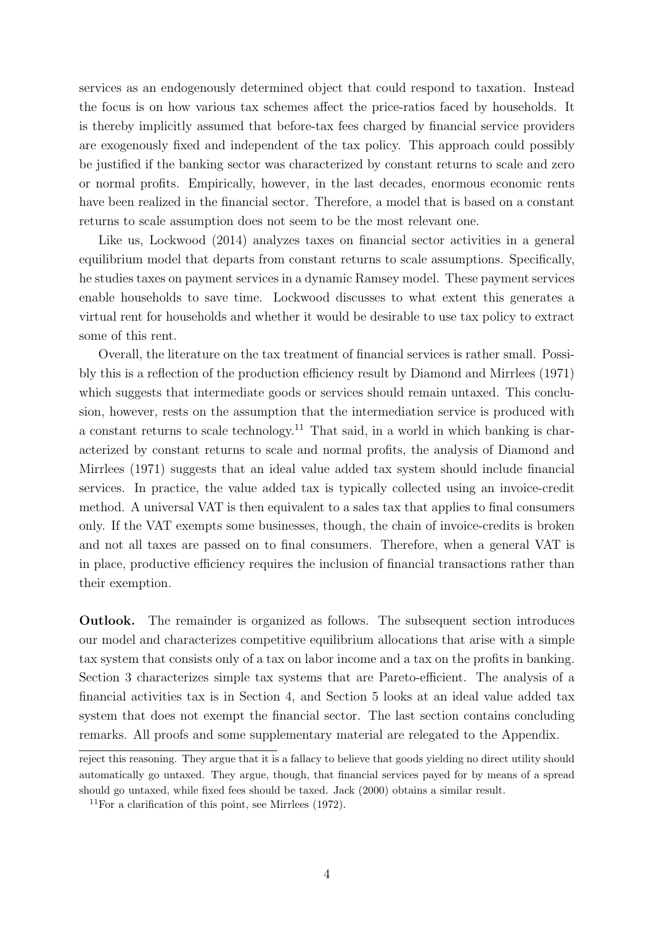services as an endogenously determined object that could respond to taxation. Instead the focus is on how various tax schemes affect the price-ratios faced by households. It is thereby implicitly assumed that before-tax fees charged by financial service providers are exogenously fixed and independent of the tax policy. This approach could possibly be justified if the banking sector was characterized by constant returns to scale and zero or normal profits. Empirically, however, in the last decades, enormous economic rents have been realized in the financial sector. Therefore, a model that is based on a constant returns to scale assumption does not seem to be the most relevant one.

Like us, Lockwood (2014) analyzes taxes on financial sector activities in a general equilibrium model that departs from constant returns to scale assumptions. Specifically, he studies taxes on payment services in a dynamic Ramsey model. These payment services enable households to save time. Lockwood discusses to what extent this generates a virtual rent for households and whether it would be desirable to use tax policy to extract some of this rent.

Overall, the literature on the tax treatment of financial services is rather small. Possibly this is a reflection of the production efficiency result by Diamond and Mirrlees (1971) which suggests that intermediate goods or services should remain untaxed. This conclusion, however, rests on the assumption that the intermediation service is produced with a constant returns to scale technology.<sup>[11](#page-6-0)</sup> That said, in a world in which banking is characterized by constant returns to scale and normal profits, the analysis of Diamond and Mirrlees (1971) suggests that an ideal value added tax system should include financial services. In practice, the value added tax is typically collected using an invoice-credit method. A universal VAT is then equivalent to a sales tax that applies to final consumers only. If the VAT exempts some businesses, though, the chain of invoice-credits is broken and not all taxes are passed on to final consumers. Therefore, when a general VAT is in place, productive efficiency requires the inclusion of financial transactions rather than their exemption.

Outlook. The remainder is organized as follows. The subsequent section introduces our model and characterizes competitive equilibrium allocations that arise with a simple tax system that consists only of a tax on labor income and a tax on the profits in banking. Section 3 characterizes simple tax systems that are Pareto-efficient. The analysis of a financial activities tax is in Section 4, and Section 5 looks at an ideal value added tax system that does not exempt the financial sector. The last section contains concluding remarks. All proofs and some supplementary material are relegated to the Appendix.

reject this reasoning. They argue that it is a fallacy to believe that goods yielding no direct utility should automatically go untaxed. They argue, though, that financial services payed for by means of a spread should go untaxed, while fixed fees should be taxed. Jack (2000) obtains a similar result.

<span id="page-6-0"></span><sup>&</sup>lt;sup>11</sup>For a clarification of this point, see Mirrlees  $(1972)$ .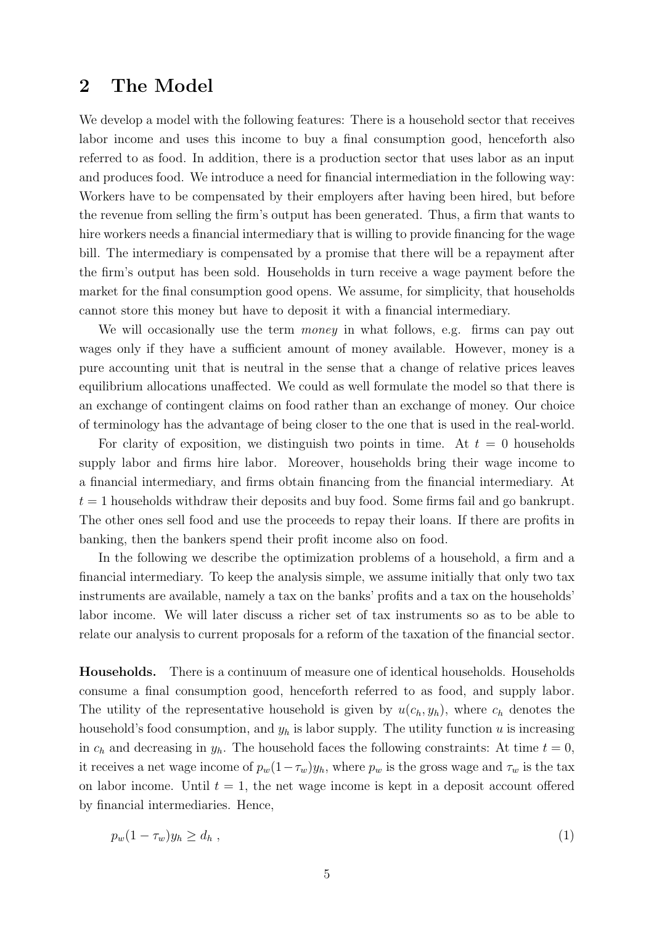### 2 The Model

We develop a model with the following features: There is a household sector that receives labor income and uses this income to buy a final consumption good, henceforth also referred to as food. In addition, there is a production sector that uses labor as an input and produces food. We introduce a need for financial intermediation in the following way: Workers have to be compensated by their employers after having been hired, but before the revenue from selling the firm's output has been generated. Thus, a firm that wants to hire workers needs a financial intermediary that is willing to provide financing for the wage bill. The intermediary is compensated by a promise that there will be a repayment after the firm's output has been sold. Households in turn receive a wage payment before the market for the final consumption good opens. We assume, for simplicity, that households cannot store this money but have to deposit it with a financial intermediary.

We will occasionally use the term *money* in what follows, e.g. firms can pay out wages only if they have a sufficient amount of money available. However, money is a pure accounting unit that is neutral in the sense that a change of relative prices leaves equilibrium allocations unaffected. We could as well formulate the model so that there is an exchange of contingent claims on food rather than an exchange of money. Our choice of terminology has the advantage of being closer to the one that is used in the real-world.

For clarity of exposition, we distinguish two points in time. At  $t = 0$  households supply labor and firms hire labor. Moreover, households bring their wage income to a financial intermediary, and firms obtain financing from the financial intermediary. At  $t = 1$  households withdraw their deposits and buy food. Some firms fail and go bankrupt. The other ones sell food and use the proceeds to repay their loans. If there are profits in banking, then the bankers spend their profit income also on food.

In the following we describe the optimization problems of a household, a firm and a financial intermediary. To keep the analysis simple, we assume initially that only two tax instruments are available, namely a tax on the banks' profits and a tax on the households' labor income. We will later discuss a richer set of tax instruments so as to be able to relate our analysis to current proposals for a reform of the taxation of the financial sector.

Households. There is a continuum of measure one of identical households. Households consume a final consumption good, henceforth referred to as food, and supply labor. The utility of the representative household is given by  $u(c_h, y_h)$ , where  $c_h$  denotes the household's food consumption, and  $y_h$  is labor supply. The utility function u is increasing in  $c_h$  and decreasing in  $y_h$ . The household faces the following constraints: At time  $t = 0$ , it receives a net wage income of  $p_w(1-\tau_w)y_h$ , where  $p_w$  is the gross wage and  $\tau_w$  is the tax on labor income. Until  $t = 1$ , the net wage income is kept in a deposit account offered by financial intermediaries. Hence,

<span id="page-7-0"></span>
$$
p_w(1 - \tau_w) y_h \ge d_h \t\t(1)
$$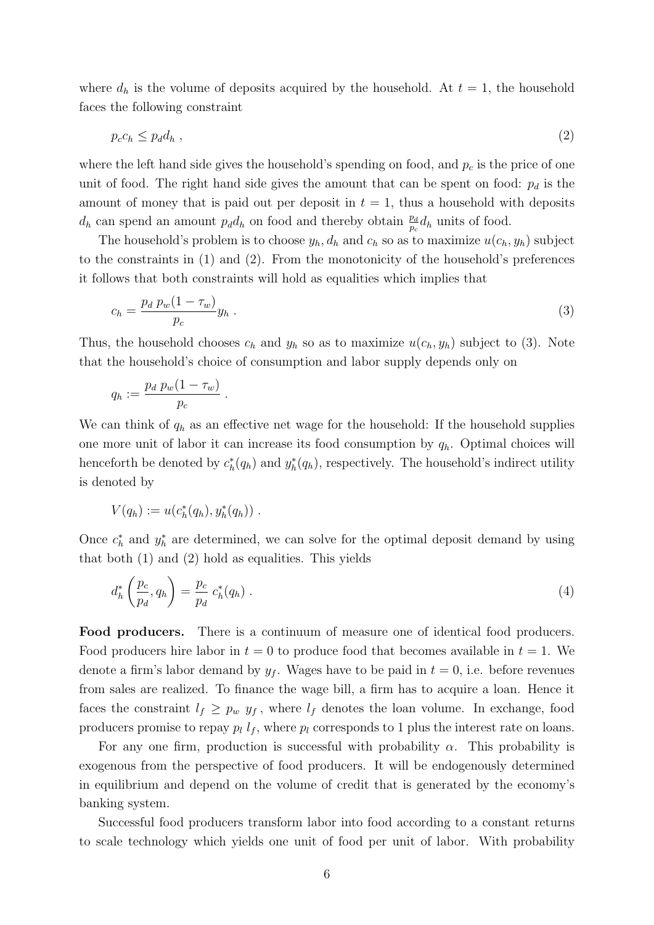where  $d_h$  is the volume of deposits acquired by the household. At  $t = 1$ , the household faces the following constraint

<span id="page-8-0"></span>
$$
p_c c_h \le p_d d_h \tag{2}
$$

where the left hand side gives the household's spending on food, and  $p_c$  is the price of one unit of food. The right hand side gives the amount that can be spent on food:  $p_d$  is the amount of money that is paid out per deposit in  $t = 1$ , thus a household with deposits  $d_h$  can spend an amount  $p_d d_h$  on food and thereby obtain  $\frac{p_d}{p_c} d_h$  units of food.

The household's problem is to choose  $y_h$ ,  $d_h$  and  $c_h$  so as to maximize  $u(c_h, y_h)$  subject to the constraints in [\(1\)](#page-7-0) and [\(2\)](#page-8-0). From the monotonicity of the household's preferences it follows that both constraints will hold as equalities which implies that

<span id="page-8-1"></span>
$$
c_h = \frac{p_d p_w (1 - \tau_w)}{p_c} y_h \tag{3}
$$

Thus, the household chooses  $c_h$  and  $y_h$  so as to maximize  $u(c_h, y_h)$  subject to [\(3\)](#page-8-1). Note that the household's choice of consumption and labor supply depends only on

$$
q_h := \frac{p_d p_w(1-\tau_w)}{p_c}.
$$

We can think of  $q_h$  as an effective net wage for the household: If the household supplies one more unit of labor it can increase its food consumption by  $q_h$ . Optimal choices will henceforth be denoted by  $c_h^*(q_h)$  and  $y_h^*(q_h)$ , respectively. The household's indirect utility is denoted by

$$
V(q_h) := u(c_h^*(q_h), y_h^*(q_h)) \ .
$$

Once  $c_h^*$  and  $y_h^*$  are determined, we can solve for the optimal deposit demand by using that both [\(1\)](#page-7-0) and [\(2\)](#page-8-0) hold as equalities. This yields

<span id="page-8-2"></span>
$$
d_h^* \left(\frac{p_c}{p_d}, q_h\right) = \frac{p_c}{p_d} c_h^*(q_h) \tag{4}
$$

Food producers. There is a continuum of measure one of identical food producers. Food producers hire labor in  $t = 0$  to produce food that becomes available in  $t = 1$ . We denote a firm's labor demand by  $y_f$ . Wages have to be paid in  $t = 0$ , i.e. before revenues from sales are realized. To finance the wage bill, a firm has to acquire a loan. Hence it faces the constraint  $l_f \geq p_w y_f$ , where  $l_f$  denotes the loan volume. In exchange, food producers promise to repay  $p_l l_f$ , where  $p_l$  corresponds to 1 plus the interest rate on loans.

For any one firm, production is successful with probability  $\alpha$ . This probability is exogenous from the perspective of food producers. It will be endogenously determined in equilibrium and depend on the volume of credit that is generated by the economy's banking system.

Successful food producers transform labor into food according to a constant returns to scale technology which yields one unit of food per unit of labor. With probability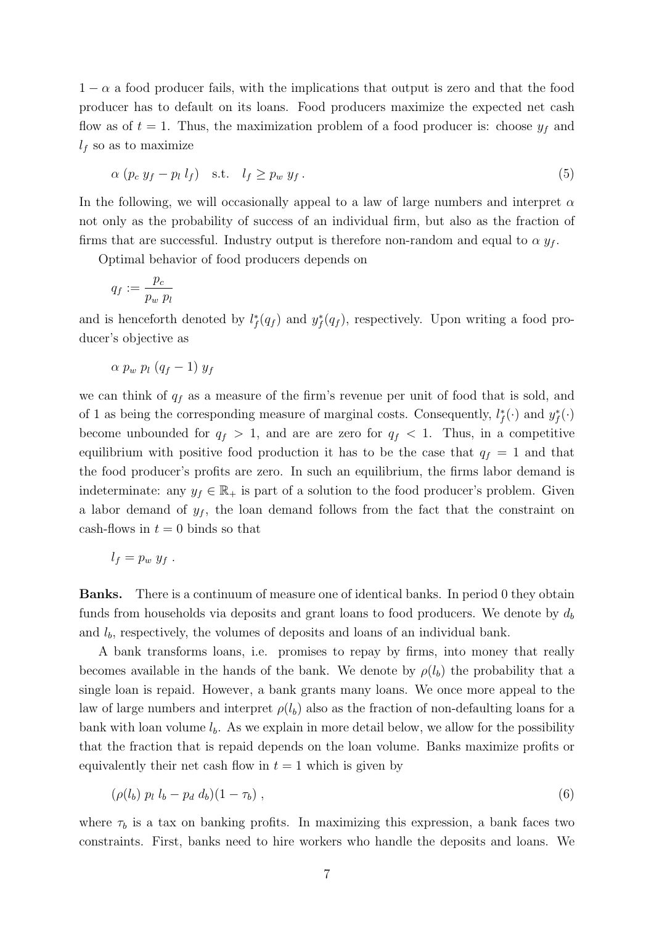$1 - \alpha$  a food producer fails, with the implications that output is zero and that the food producer has to default on its loans. Food producers maximize the expected net cash flow as of  $t = 1$ . Thus, the maximization problem of a food producer is: choose  $y<sub>f</sub>$  and  $l_f$  so as to maximize

$$
\alpha (p_c y_f - p_l l_f) \quad \text{s.t.} \quad l_f \geq p_w y_f \,. \tag{5}
$$

In the following, we will occasionally appeal to a law of large numbers and interpret  $\alpha$ not only as the probability of success of an individual firm, but also as the fraction of firms that are successful. Industry output is therefore non-random and equal to  $\alpha y_f$ .

Optimal behavior of food producers depends on

$$
q_f := \frac{p_c}{p_w \ p_l}
$$

and is henceforth denoted by  $l_f^*(q_f)$  and  $y_f^*(q_f)$ , respectively. Upon writing a food producer's objective as

$$
\alpha p_w p_l (q_f - 1) y_f
$$

we can think of  $q_f$  as a measure of the firm's revenue per unit of food that is sold, and of 1 as being the corresponding measure of marginal costs. Consequently,  $l_f^*(\cdot)$  and  $y_f^*(\cdot)$ become unbounded for  $q_f > 1$ , and are are zero for  $q_f < 1$ . Thus, in a competitive equilibrium with positive food production it has to be the case that  $q_f = 1$  and that the food producer's profits are zero. In such an equilibrium, the firms labor demand is indeterminate: any  $y_f \in \mathbb{R}_+$  is part of a solution to the food producer's problem. Given a labor demand of  $y_f$ , the loan demand follows from the fact that the constraint on cash-flows in  $t = 0$  binds so that

$$
l_f = p_w y_f.
$$

Banks. There is a continuum of measure one of identical banks. In period 0 they obtain funds from households via deposits and grant loans to food producers. We denote by  $d_b$ and  $l_b$ , respectively, the volumes of deposits and loans of an individual bank.

A bank transforms loans, i.e. promises to repay by firms, into money that really becomes available in the hands of the bank. We denote by  $\rho(l_b)$  the probability that a single loan is repaid. However, a bank grants many loans. We once more appeal to the law of large numbers and interpret  $\rho(l_b)$  also as the fraction of non-defaulting loans for a bank with loan volume  $l_b$ . As we explain in more detail below, we allow for the possibility that the fraction that is repaid depends on the loan volume. Banks maximize profits or equivalently their net cash flow in  $t = 1$  which is given by

<span id="page-9-0"></span>
$$
(\rho(l_b) p_l l_b - p_d d_b)(1 - \tau_b) , \qquad (6)
$$

where  $\tau_b$  is a tax on banking profits. In maximizing this expression, a bank faces two constraints. First, banks need to hire workers who handle the deposits and loans. We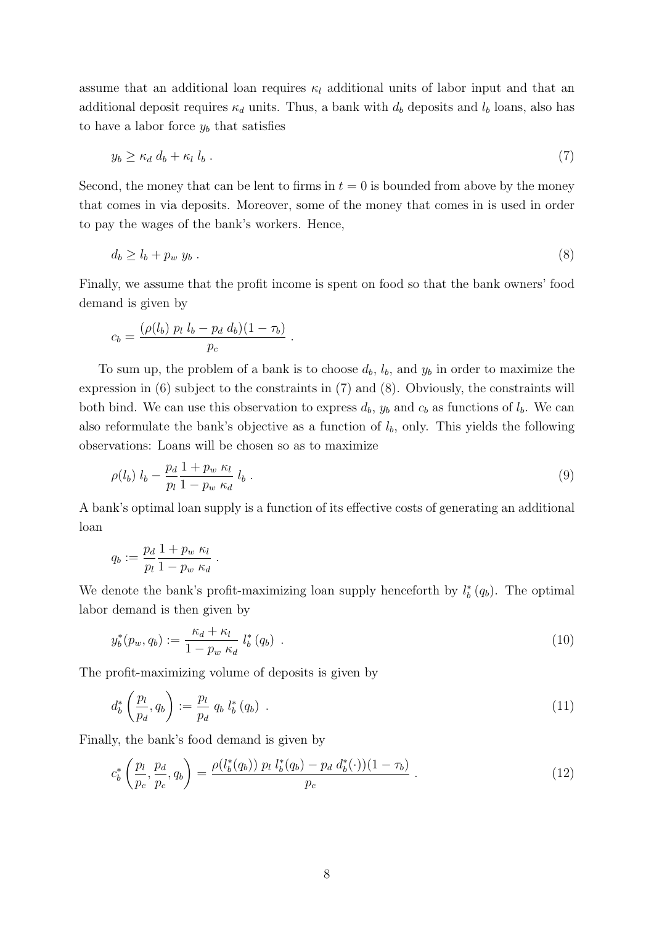assume that an additional loan requires  $\kappa_l$  additional units of labor input and that an additional deposit requires  $\kappa_d$  units. Thus, a bank with  $d_b$  deposits and  $l_b$  loans, also has to have a labor force  $y_b$  that satisfies

<span id="page-10-0"></span>
$$
y_b \ge \kappa_d \ d_b + \kappa_l \ l_b \ . \tag{7}
$$

Second, the money that can be lent to firms in  $t = 0$  is bounded from above by the money that comes in via deposits. Moreover, some of the money that comes in is used in order to pay the wages of the bank's workers. Hence,

<span id="page-10-1"></span>
$$
d_b \ge l_b + p_w y_b \tag{8}
$$

Finally, we assume that the profit income is spent on food so that the bank owners' food demand is given by

.

$$
c_b = \frac{(\rho(l_b) \ p_l \ l_b - p_d \ d_b)(1 - \tau_b)}{p_c}
$$

To sum up, the problem of a bank is to choose  $d_b$ ,  $l_b$ , and  $y_b$  in order to maximize the expression in [\(6\)](#page-9-0) subject to the constraints in [\(7\)](#page-10-0) and [\(8\)](#page-10-1). Obviously, the constraints will both bind. We can use this observation to express  $d_b$ ,  $y_b$  and  $c_b$  as functions of  $l_b$ . We can also reformulate the bank's objective as a function of  $l<sub>b</sub>$ , only. This yields the following observations: Loans will be chosen so as to maximize

$$
\rho(l_b) \; l_b - \frac{p_d}{p_l} \frac{1 + p_w \; \kappa_l}{1 - p_w \; \kappa_d} \; l_b \; . \tag{9}
$$

A bank's optimal loan supply is a function of its effective costs of generating an additional loan

$$
q_b := \frac{p_d}{p_l} \frac{1 + p_w \; \kappa_l}{1 - p_w \; \kappa_d}
$$

We denote the bank's profit-maximizing loan supply henceforth by  $l_b^*(q_b)$ . The optimal labor demand is then given by

<span id="page-10-2"></span>
$$
y_b^*(p_w, q_b) := \frac{\kappa_d + \kappa_l}{1 - p_w \kappa_d} l_b^*(q_b) \tag{10}
$$

The profit-maximizing volume of deposits is given by

.

<span id="page-10-3"></span>
$$
d_b^* \left(\frac{p_l}{p_d}, q_b\right) := \frac{p_l}{p_d} q_b l_b^* (q_b) \tag{11}
$$

Finally, the bank's food demand is given by

<span id="page-10-4"></span>
$$
c_b^* \left( \frac{p_l}{p_c}, \frac{p_d}{p_c}, q_b \right) = \frac{\rho(l_b^*(q_b)) p_l l_b^*(q_b) - p_d d_b^*(\cdot))(1 - \tau_b)}{p_c} \,. \tag{12}
$$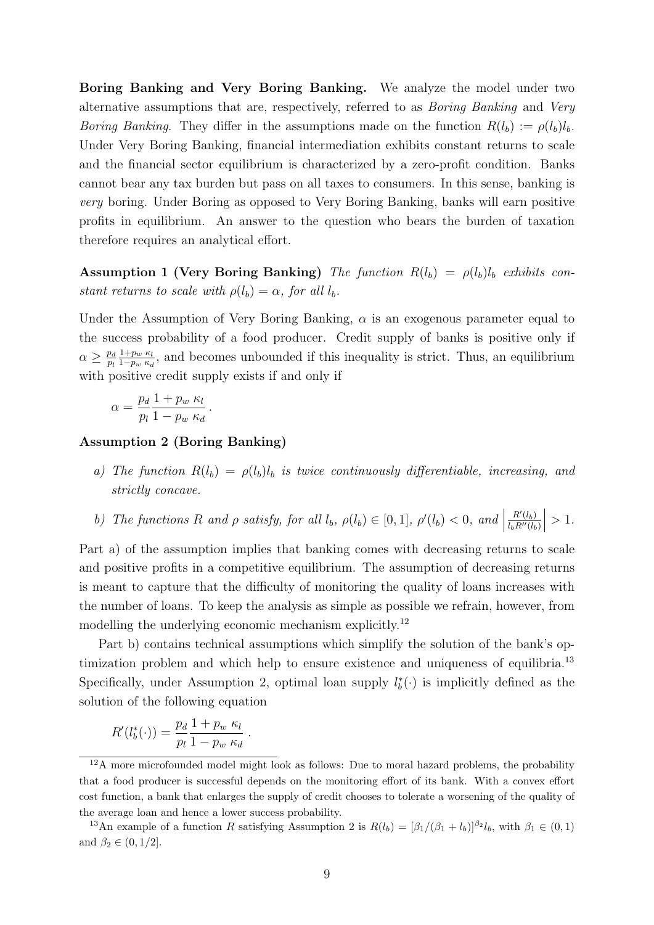Boring Banking and Very Boring Banking. We analyze the model under two alternative assumptions that are, respectively, referred to as Boring Banking and Very *Boring Banking.* They differ in the assumptions made on the function  $R(l_b) := \rho(l_b)l_b$ . Under Very Boring Banking, financial intermediation exhibits constant returns to scale and the financial sector equilibrium is characterized by a zero-profit condition. Banks cannot bear any tax burden but pass on all taxes to consumers. In this sense, banking is very boring. Under Boring as opposed to Very Boring Banking, banks will earn positive profits in equilibrium. An answer to the question who bears the burden of taxation therefore requires an analytical effort.

<span id="page-11-3"></span>Assumption 1 (Very Boring Banking) The function  $R(l_b) = \rho(l_b)l_b$  exhibits constant returns to scale with  $\rho(l_b) = \alpha$ , for all  $l_b$ .

Under the Assumption of Very Boring Banking,  $\alpha$  is an exogenous parameter equal to the success probability of a food producer. Credit supply of banks is positive only if  $\alpha \geq \frac{p_d}{p_d}$ pl  $1+p_w \kappa_l$  $\frac{1+p_w \kappa_l}{1-p_w \kappa_d}$ , and becomes unbounded if this inequality is strict. Thus, an equilibrium with positive credit supply exists if and only if

$$
\alpha = \frac{p_d}{p_l} \frac{1 + p_w \kappa_l}{1 - p_w \kappa_d}.
$$

#### <span id="page-11-2"></span>Assumption 2 (Boring Banking)

a) The function  $R(l_b) = \rho(l_b)l_b$  is twice continuously differentiable, increasing, and strictly concave.

b) The functions R and 
$$
\rho
$$
 satisfy, for all  $l_b$ ,  $\rho(l_b) \in [0,1]$ ,  $\rho'(l_b) < 0$ , and  $\left| \frac{R'(l_b)}{l_b R''(l_b)} \right| > 1$ .

Part a) of the assumption implies that banking comes with decreasing returns to scale and positive profits in a competitive equilibrium. The assumption of decreasing returns is meant to capture that the difficulty of monitoring the quality of loans increases with the number of loans. To keep the analysis as simple as possible we refrain, however, from modelling the underlying economic mechanism explicitly.<sup>[12](#page-11-0)</sup>

Part b) contains technical assumptions which simplify the solution of the bank's op-timization problem and which help to ensure existence and uniqueness of equilibria.<sup>[13](#page-11-1)</sup> Specifically, under Assumption [2,](#page-11-2) optimal loan supply  $l_b^* (.)$  is implicitly defined as the solution of the following equation

$$
R'(l_b^*(\cdot)) = \frac{p_d}{p_l} \frac{1 + p_w \kappa_l}{1 - p_w \kappa_d}.
$$

<span id="page-11-0"></span> $12A$  more microfounded model might look as follows: Due to moral hazard problems, the probability that a food producer is successful depends on the monitoring effort of its bank. With a convex effort cost function, a bank that enlarges the supply of credit chooses to tolerate a worsening of the quality of the average loan and hence a lower success probability.

<span id="page-11-1"></span><sup>&</sup>lt;sup>13</sup>An example of a function R satisfying Assumption [2](#page-11-2) is  $R(l_b) = [\beta_1/(\beta_1 + l_b)]^{\beta_2} l_b$ , with  $\beta_1 \in (0,1)$ and  $\beta_2 \in (0, 1/2]$ .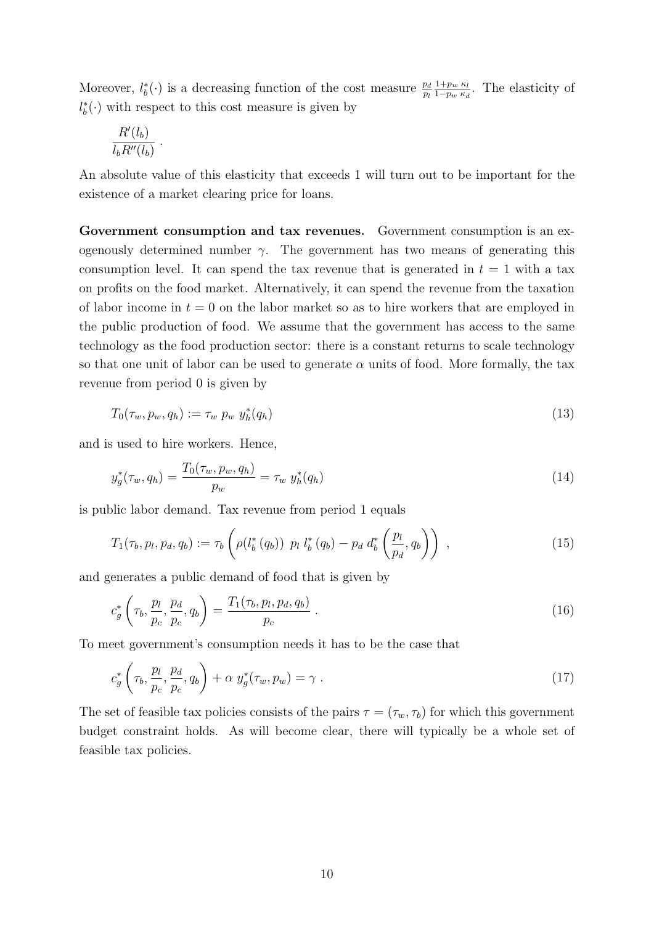Moreover,  $l_b^*(\cdot)$  is a decreasing function of the cost measure  $\frac{p_d}{p_l}$  $1+p_w \kappa_l$  $\frac{1+p_w \kappa_l}{1-p_w \kappa_d}$ . The elasticity of  $l_b^*(⋅)$  with respect to this cost measure is given by

$$
\frac{R'(l_b)}{l_b R''(l_b)}.
$$

An absolute value of this elasticity that exceeds 1 will turn out to be important for the existence of a market clearing price for loans.

Government consumption and tax revenues. Government consumption is an exogenously determined number  $\gamma$ . The government has two means of generating this consumption level. It can spend the tax revenue that is generated in  $t = 1$  with a tax on profits on the food market. Alternatively, it can spend the revenue from the taxation of labor income in  $t = 0$  on the labor market so as to hire workers that are employed in the public production of food. We assume that the government has access to the same technology as the food production sector: there is a constant returns to scale technology so that one unit of labor can be used to generate  $\alpha$  units of food. More formally, the tax revenue from period 0 is given by

<span id="page-12-1"></span>
$$
T_0(\tau_w, p_w, q_h) := \tau_w \ p_w \ y_h^*(q_h) \tag{13}
$$

and is used to hire workers. Hence,

<span id="page-12-2"></span>
$$
y_g^*(\tau_w, q_h) = \frac{T_0(\tau_w, p_w, q_h)}{p_w} = \tau_w \ y_h^*(q_h)
$$
\n(14)

is public labor demand. Tax revenue from period 1 equals

$$
T_1(\tau_b, p_l, p_d, q_b) := \tau_b \left( \rho(l_b^*(q_b)) \ p_l \ l_b^*(q_b) - p_d \ d_b^*\left(\frac{p_l}{p_d}, q_b\right) \right) \,, \tag{15}
$$

and generates a public demand of food that is given by

<span id="page-12-0"></span>
$$
c_g^* \left(\tau_b, \frac{p_l}{p_c}, \frac{p_d}{p_c}, q_b\right) = \frac{T_1(\tau_b, p_l, p_d, q_b)}{p_c} \,. \tag{16}
$$

To meet government's consumption needs it has to be the case that

$$
c_g^* \left(\tau_b, \frac{p_l}{p_c}, \frac{p_d}{p_c}, q_b\right) + \alpha \ y_g^*(\tau_w, p_w) = \gamma \ . \tag{17}
$$

The set of feasible tax policies consists of the pairs  $\tau = (\tau_w, \tau_b)$  for which this government budget constraint holds. As will become clear, there will typically be a whole set of feasible tax policies.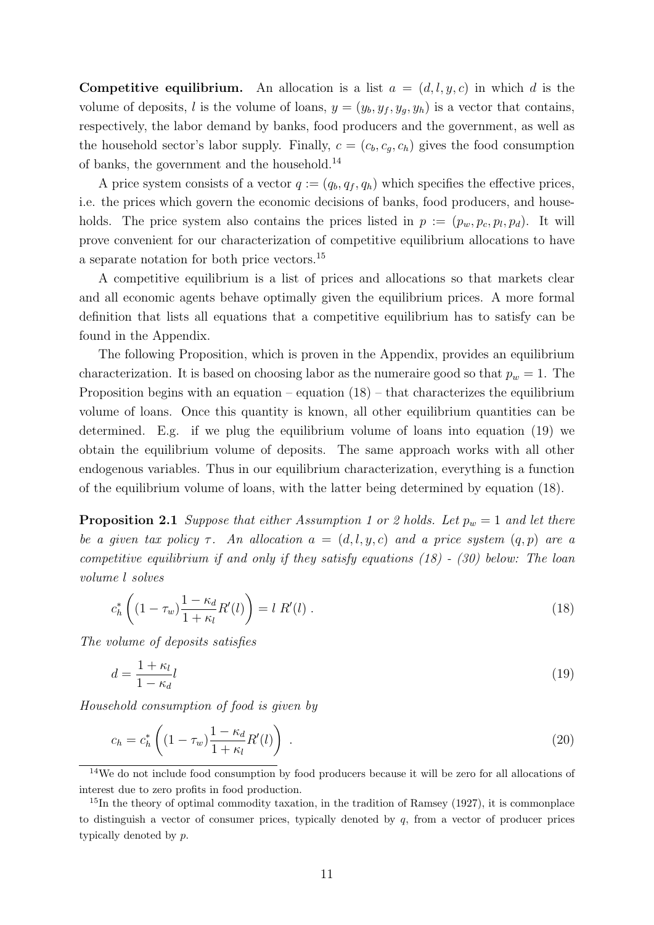**Competitive equilibrium.** An allocation is a list  $a = (d, l, y, c)$  in which d is the volume of deposits, l is the volume of loans,  $y = (y_b, y_f, y_q, y_h)$  is a vector that contains, respectively, the labor demand by banks, food producers and the government, as well as the household sector's labor supply. Finally,  $c = (c_b, c_q, c_h)$  gives the food consumption of banks, the government and the household.[14](#page-13-0)

A price system consists of a vector  $q := (q_b, q_f, q_h)$  which specifies the effective prices, i.e. the prices which govern the economic decisions of banks, food producers, and households. The price system also contains the prices listed in  $p := (p_w, p_c, p_l, p_d)$ . It will prove convenient for our characterization of competitive equilibrium allocations to have a separate notation for both price vectors.[15](#page-13-1)

A competitive equilibrium is a list of prices and allocations so that markets clear and all economic agents behave optimally given the equilibrium prices. A more formal definition that lists all equations that a competitive equilibrium has to satisfy can be found in the Appendix.

The following Proposition, which is proven in the Appendix, provides an equilibrium characterization. It is based on choosing labor as the numeraire good so that  $p_w = 1$ . The Proposition begins with an equation – equation  $(18)$  – that characterizes the equilibrium volume of loans. Once this quantity is known, all other equilibrium quantities can be determined. E.g. if we plug the equilibrium volume of loans into equation [\(19\)](#page-13-3) we obtain the equilibrium volume of deposits. The same approach works with all other endogenous variables. Thus in our equilibrium characterization, everything is a function of the equilibrium volume of loans, with the latter being determined by equation [\(18\)](#page-13-2).

**Proposition [2](#page-11-2).1** Suppose that either Assumption [1](#page-11-3) or 2 holds. Let  $p_w = 1$  and let there be a given tax policy  $\tau$ . An allocation  $a = (d, l, y, c)$  and a price system  $(q, p)$  are a competitive equilibrium if and only if they satisfy equations [\(18\)](#page-13-2) - [\(30\)](#page-14-0) below: The loan volume l solves

<span id="page-13-4"></span><span id="page-13-2"></span>
$$
c_h^* \left( (1 - \tau_w) \frac{1 - \kappa_d}{1 + \kappa_l} R'(l) \right) = l \; R'(l) \; . \tag{18}
$$

The volume of deposits satisfies

<span id="page-13-3"></span>
$$
d = \frac{1 + \kappa_l}{1 - \kappa_d} l \tag{19}
$$

Household consumption of food is given by

<span id="page-13-5"></span>
$$
c_h = c_h^* \left( (1 - \tau_w) \frac{1 - \kappa_d}{1 + \kappa_l} R'(l) \right) \,. \tag{20}
$$

<span id="page-13-0"></span><sup>&</sup>lt;sup>14</sup>We do not include food consumption by food producers because it will be zero for all allocations of interest due to zero profits in food production.

<span id="page-13-1"></span><sup>&</sup>lt;sup>15</sup>In the theory of optimal commodity taxation, in the tradition of Ramsey (1927), it is commonplace to distinguish a vector of consumer prices, typically denoted by  $q$ , from a vector of producer prices typically denoted by p.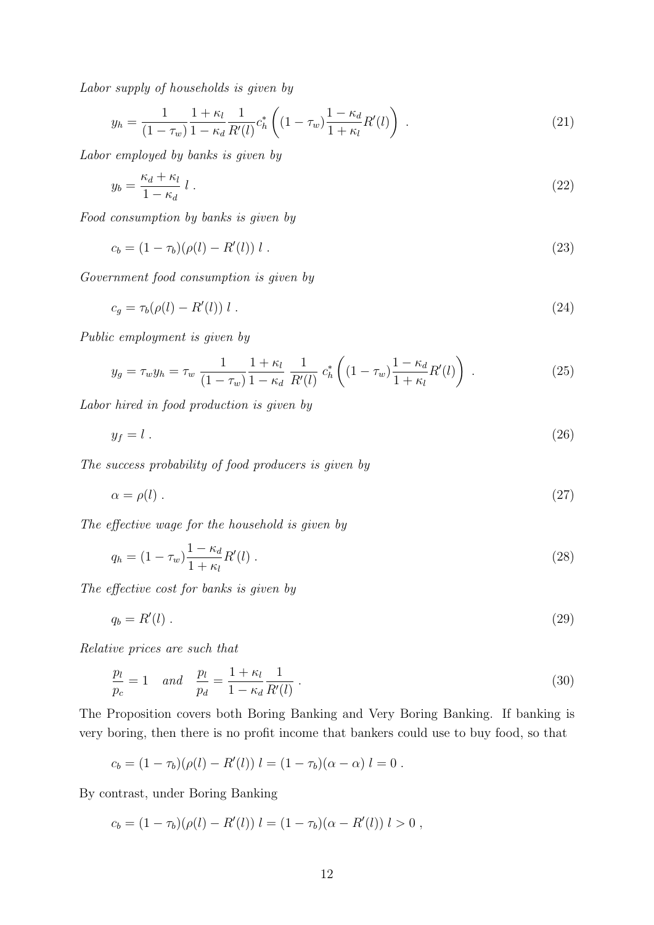Labor supply of households is given by

<span id="page-14-7"></span>
$$
y_h = \frac{1}{(1 - \tau_w)} \frac{1 + \kappa_l}{1 - \kappa_d} \frac{1}{R'(l)} c_h^* \left( (1 - \tau_w) \frac{1 - \kappa_d}{1 + \kappa_l} R'(l) \right) . \tag{21}
$$

Labor employed by banks is given by

<span id="page-14-1"></span>
$$
y_b = \frac{\kappa_d + \kappa_l}{1 - \kappa_d} l \tag{22}
$$

Food consumption by banks is given by

<span id="page-14-2"></span>
$$
c_b = (1 - \tau_b)(\rho(l) - R'(l)) l . \tag{23}
$$

Government food consumption is given by

<span id="page-14-8"></span>
$$
c_g = \tau_b(\rho(l) - R'(l)) l \tag{24}
$$

Public employment is given by

<span id="page-14-9"></span>
$$
y_g = \tau_w y_h = \tau_w \frac{1}{(1 - \tau_w)} \frac{1 + \kappa_l}{1 - \kappa_d} \frac{1}{R'(l)} c_h^* \left( (1 - \tau_w) \frac{1 - \kappa_d}{1 + \kappa_l} R'(l) \right) . \tag{25}
$$

Labor hired in food production is given by

<span id="page-14-3"></span>
$$
y_f = l \tag{26}
$$

The success probability of food producers is given by

<span id="page-14-4"></span>
$$
\alpha = \rho(l) \tag{27}
$$

The effective wage for the household is given by

<span id="page-14-6"></span>
$$
q_h = (1 - \tau_w) \frac{1 - \kappa_d}{1 + \kappa_l} R'(l) \,. \tag{28}
$$

The effective cost for banks is given by

<span id="page-14-5"></span>
$$
q_b = R'(l) \tag{29}
$$

Relative prices are such that

<span id="page-14-0"></span>
$$
\frac{p_l}{p_c} = 1 \quad and \quad \frac{p_l}{p_d} = \frac{1 + \kappa_l}{1 - \kappa_d} \frac{1}{R'(l)} \,. \tag{30}
$$

The Proposition covers both Boring Banking and Very Boring Banking. If banking is very boring, then there is no profit income that bankers could use to buy food, so that

$$
c_b = (1 - \tau_b)(\rho(l) - R'(l)) l = (1 - \tau_b)(\alpha - \alpha) l = 0.
$$

By contrast, under Boring Banking

$$
c_b = (1 - \tau_b)(\rho(l) - R'(l)) l = (1 - \tau_b)(\alpha - R'(l)) l > 0,
$$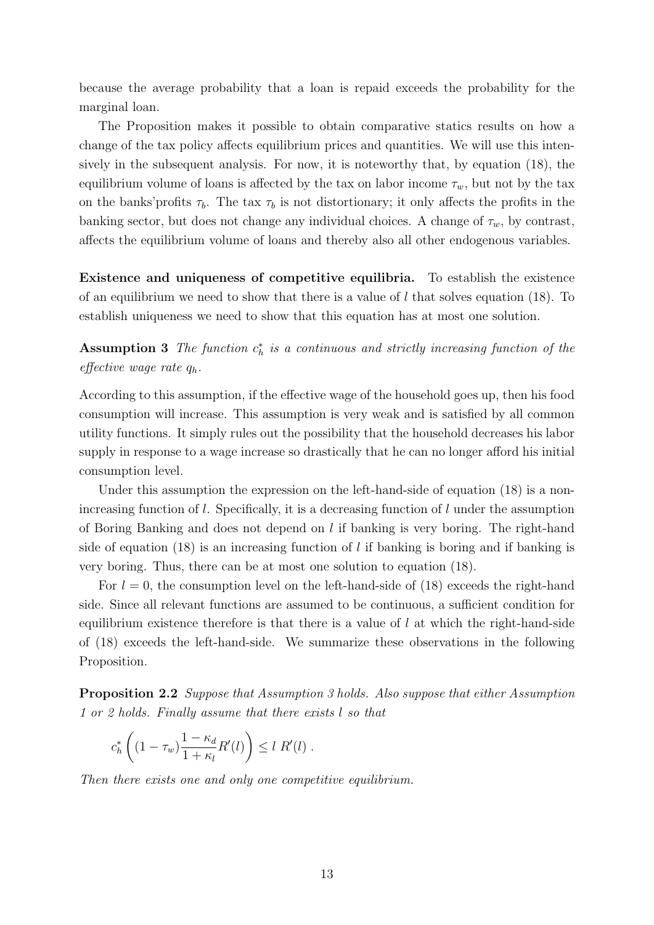because the average probability that a loan is repaid exceeds the probability for the marginal loan.

The Proposition makes it possible to obtain comparative statics results on how a change of the tax policy affects equilibrium prices and quantities. We will use this intensively in the subsequent analysis. For now, it is noteworthy that, by equation [\(18\)](#page-13-2), the equilibrium volume of loans is affected by the tax on labor income  $\tau_w$ , but not by the tax on the banks' profits  $\tau_b$ . The tax  $\tau_b$  is not distortionary; it only affects the profits in the banking sector, but does not change any individual choices. A change of  $\tau_w$ , by contrast, affects the equilibrium volume of loans and thereby also all other endogenous variables.

<span id="page-15-0"></span>Existence and uniqueness of competitive equilibria. To establish the existence of an equilibrium we need to show that there is a value of l that solves equation [\(18\)](#page-13-2). To establish uniqueness we need to show that this equation has at most one solution.

Assumption 3 The function  $c_h^*$  is a continuous and strictly increasing function of the effective wage rate  $q_h$ .

According to this assumption, if the effective wage of the household goes up, then his food consumption will increase. This assumption is very weak and is satisfied by all common utility functions. It simply rules out the possibility that the household decreases his labor supply in response to a wage increase so drastically that he can no longer afford his initial consumption level.

Under this assumption the expression on the left-hand-side of equation [\(18\)](#page-13-2) is a nonincreasing function of l. Specifically, it is a decreasing function of l under the assumption of Boring Banking and does not depend on  $l$  if banking is very boring. The right-hand side of equation [\(18\)](#page-13-2) is an increasing function of l if banking is boring and if banking is very boring. Thus, there can be at most one solution to equation [\(18\)](#page-13-2).

For  $l = 0$ , the consumption level on the left-hand-side of [\(18\)](#page-13-2) exceeds the right-hand side. Since all relevant functions are assumed to be continuous, a sufficient condition for equilibrium existence therefore is that there is a value of  $l$  at which the right-hand-side of [\(18\)](#page-13-2) exceeds the left-hand-side. We summarize these observations in the following Proposition.

Proposition 2.2 Suppose that Assumption [3](#page-15-0) holds. Also suppose that either Assumption [1](#page-11-3) or [2](#page-11-2) holds. Finally assume that there exists l so that

$$
c_h^* \left( (1 - \tau_w) \frac{1 - \kappa_d}{1 + \kappa_l} R'(l) \right) \le l R'(l) .
$$

Then there exists one and only one competitive equilibrium.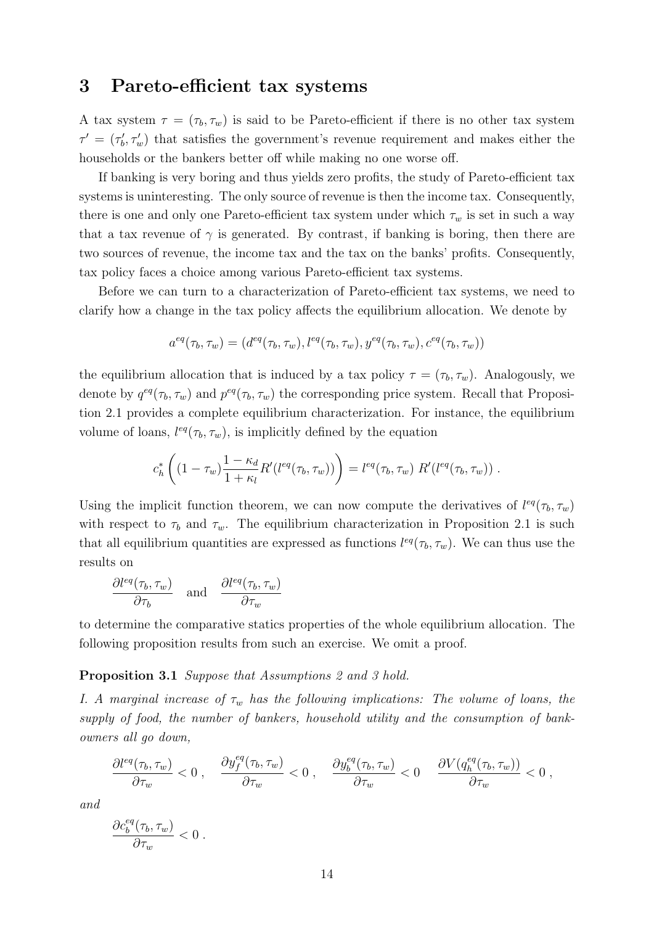#### 3 Pareto-efficient tax systems

A tax system  $\tau = (\tau_b, \tau_w)$  is said to be Pareto-efficient if there is no other tax system  $\tau' = (\tau'_{b}, \tau'_{w})$  that satisfies the government's revenue requirement and makes either the households or the bankers better off while making no one worse off.

If banking is very boring and thus yields zero profits, the study of Pareto-efficient tax systems is uninteresting. The only source of revenue is then the income tax. Consequently, there is one and only one Pareto-efficient tax system under which  $\tau_w$  is set in such a way that a tax revenue of  $\gamma$  is generated. By contrast, if banking is boring, then there are two sources of revenue, the income tax and the tax on the banks' profits. Consequently, tax policy faces a choice among various Pareto-efficient tax systems.

Before we can turn to a characterization of Pareto-efficient tax systems, we need to clarify how a change in the tax policy affects the equilibrium allocation. We denote by

$$
a^{eq}(\tau_b, \tau_w) = (d^{eq}(\tau_b, \tau_w), l^{eq}(\tau_b, \tau_w), y^{eq}(\tau_b, \tau_w), c^{eq}(\tau_b, \tau_w))
$$

the equilibrium allocation that is induced by a tax policy  $\tau = (\tau_b, \tau_w)$ . Analogously, we denote by  $q^{eq}(\tau_b, \tau_w)$  and  $p^{eq}(\tau_b, \tau_w)$  the corresponding price system. Recall that Proposition [2.1](#page-13-4) provides a complete equilibrium characterization. For instance, the equilibrium volume of loans,  $l^{eq}(\tau_b, \tau_w)$ , is implicitly defined by the equation

$$
c_h^* \left( (1 - \tau_w) \frac{1 - \kappa_d}{1 + \kappa_l} R'(l^{eq}(\tau_b, \tau_w)) \right) = l^{eq}(\tau_b, \tau_w) R'(l^{eq}(\tau_b, \tau_w)) .
$$

Using the implicit function theorem, we can now compute the derivatives of  $l^{eq}(\tau_b, \tau_w)$ with respect to  $\tau_b$  and  $\tau_w$ . The equilibrium characterization in Proposition [2.1](#page-13-4) is such that all equilibrium quantities are expressed as functions  $l^{eq}(\tau_b, \tau_w)$ . We can thus use the results on

$$
\frac{\partial l^{eq}(\tau_b, \tau_w)}{\partial \tau_b} \quad \text{and} \quad \frac{\partial l^{eq}(\tau_b, \tau_w)}{\partial \tau_w}
$$

to determine the comparative statics properties of the whole equilibrium allocation. The following proposition results from such an exercise. We omit a proof.

#### <span id="page-16-0"></span>Proposition 3.1 Suppose that Assumptions [2](#page-11-2) and [3](#page-15-0) hold.

I. A marginal increase of  $\tau_w$  has the following implications: The volume of loans, the supply of food, the number of bankers, household utility and the consumption of bankowners all go down,

$$
\frac{\partial l^{eq}(\tau_b, \tau_w)}{\partial \tau_w} < 0 \; , \quad \frac{\partial y_f^{eq}(\tau_b, \tau_w)}{\partial \tau_w} < 0 \; , \quad \frac{\partial y_b^{eq}(\tau_b, \tau_w)}{\partial \tau_w} < 0 \quad \frac{\partial V(q_h^{eq}(\tau_b, \tau_w))}{\partial \tau_w} < 0 \; ,
$$

and

$$
\frac{\partial c_b^{eq}(\tau_b,\tau_w)}{\partial \tau_w} < 0 \; .
$$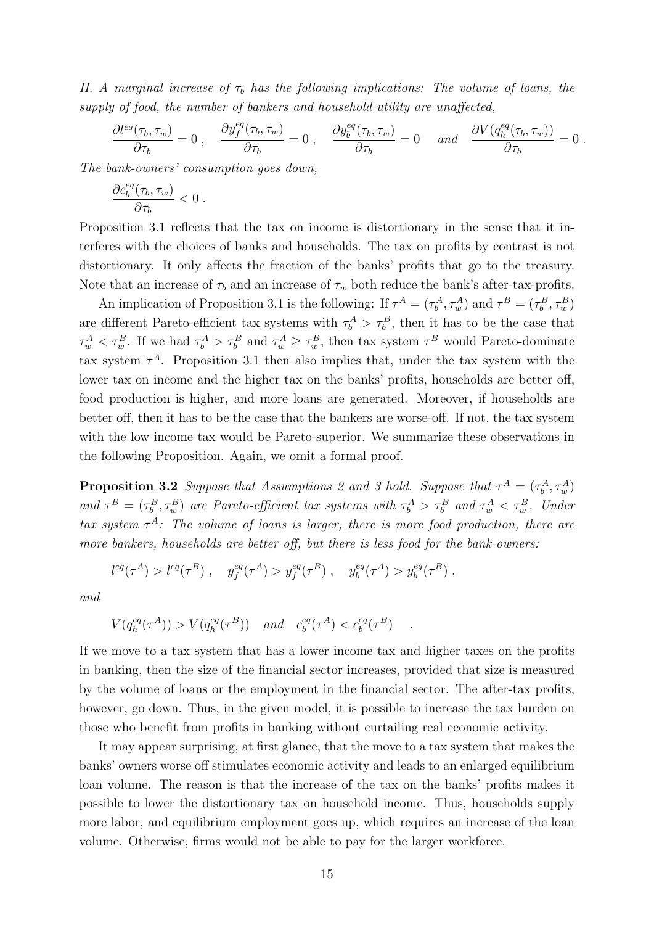II. A marginal increase of  $\tau_b$  has the following implications: The volume of loans, the supply of food, the number of bankers and household utility are unaffected,

$$
\frac{\partial l^{eq}(\tau_b, \tau_w)}{\partial \tau_b} = 0 \; , \quad \frac{\partial y^{eq}_f(\tau_b, \tau_w)}{\partial \tau_b} = 0 \; , \quad \frac{\partial y^{eq}_b(\tau_b, \tau_w)}{\partial \tau_b} = 0 \quad \text{and} \quad \frac{\partial V(q^{eq}_h(\tau_b, \tau_w))}{\partial \tau_b} = 0 \; .
$$

The bank-owners' consumption goes down,

$$
\frac{\partial c_b^{eq}(\tau_b,\tau_w)}{\partial \tau_b} < 0 \; .
$$

Proposition [3.1](#page-16-0) reflects that the tax on income is distortionary in the sense that it interferes with the choices of banks and households. The tax on profits by contrast is not distortionary. It only affects the fraction of the banks' profits that go to the treasury. Note that an increase of  $\tau_b$  and an increase of  $\tau_w$  both reduce the bank's after-tax-profits.

An implication of Proposition [3.1](#page-16-0) is the following: If  $\tau^A = (\tau^A_b, \tau^A_w)$  and  $\tau^B = (\tau^B_b, \tau^B_w)$ are different Pareto-efficient tax systems with  $\tau_b^A > \tau_b^B$ , then it has to be the case that  $\tau_w^A < \tau_w^B$ . If we had  $\tau_b^A > \tau_b^B$  and  $\tau_w^A \geq \tau_w^B$ , then tax system  $\tau^B$  would Pareto-dominate tax system  $\tau^A$ . Proposition [3.1](#page-16-0) then also implies that, under the tax system with the lower tax on income and the higher tax on the banks' profits, households are better off, food production is higher, and more loans are generated. Moreover, if households are better off, then it has to be the case that the bankers are worse-off. If not, the tax system with the low income tax would be Pareto-superior. We summarize these observations in the following Proposition. Again, we omit a formal proof.

**Proposition [3](#page-15-0).2** Suppose that Assumptions [2](#page-11-2) and 3 hold. Suppose that  $\tau^A = (\tau^A_b, \tau^A_w)$ and  $\tau^B = (\tau_b^B, \tau_w^B)$  are Pareto-efficient tax systems with  $\tau_b^A > \tau_b^B$  and  $\tau_w^A < \tau_w^B$ . Under tax system  $\tau^A$ : The volume of loans is larger, there is more food production, there are more bankers, households are better off, but there is less food for the bank-owners:

$$
l^{eq}(\tau^A) > l^{eq}(\tau^B) , \quad y_f^{eq}(\tau^A) > y_f^{eq}(\tau^B) , \quad y_b^{eq}(\tau^A) > y_b^{eq}(\tau^B) ,
$$

and

$$
V(q_h^{eq}(\tau^A)) > V(q_h^{eq}(\tau^B)) \quad \text{and} \quad c_b^{eq}(\tau^A) < c_b^{eq}(\tau^B) \quad .
$$

If we move to a tax system that has a lower income tax and higher taxes on the profits in banking, then the size of the financial sector increases, provided that size is measured by the volume of loans or the employment in the financial sector. The after-tax profits, however, go down. Thus, in the given model, it is possible to increase the tax burden on those who benefit from profits in banking without curtailing real economic activity.

It may appear surprising, at first glance, that the move to a tax system that makes the banks' owners worse off stimulates economic activity and leads to an enlarged equilibrium loan volume. The reason is that the increase of the tax on the banks' profits makes it possible to lower the distortionary tax on household income. Thus, households supply more labor, and equilibrium employment goes up, which requires an increase of the loan volume. Otherwise, firms would not be able to pay for the larger workforce.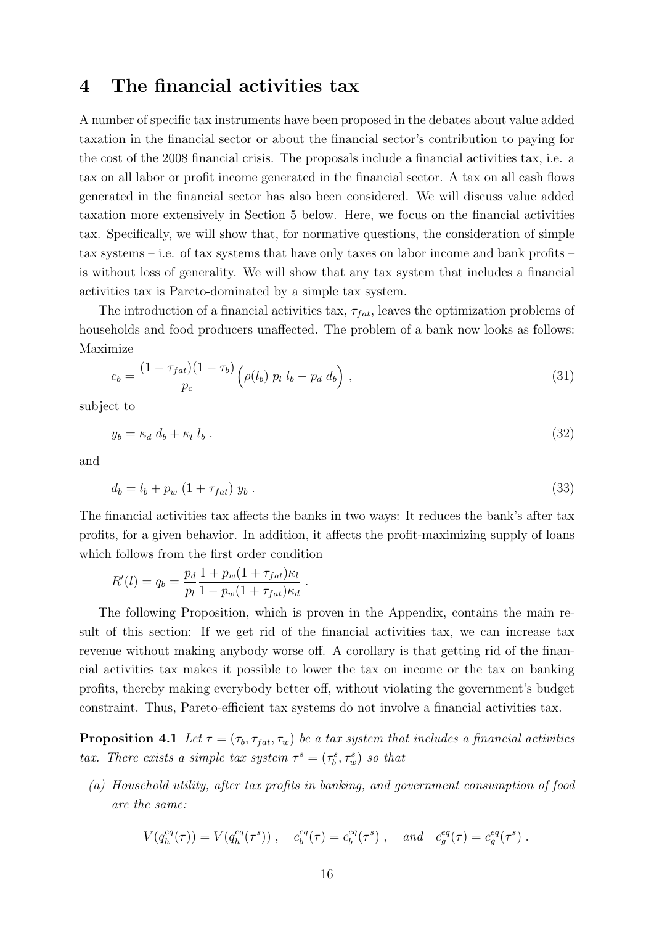### 4 The financial activities tax

A number of specific tax instruments have been proposed in the debates about value added taxation in the financial sector or about the financial sector's contribution to paying for the cost of the 2008 financial crisis. The proposals include a financial activities tax, i.e. a tax on all labor or profit income generated in the financial sector. A tax on all cash flows generated in the financial sector has also been considered. We will discuss value added taxation more extensively in Section [5](#page-19-0) below. Here, we focus on the financial activities tax. Specifically, we will show that, for normative questions, the consideration of simple tax systems – i.e. of tax systems that have only taxes on labor income and bank profits – is without loss of generality. We will show that any tax system that includes a financial activities tax is Pareto-dominated by a simple tax system.

The introduction of a financial activities tax,  $\tau_{fat}$ , leaves the optimization problems of households and food producers unaffected. The problem of a bank now looks as follows: Maximize

$$
c_b = \frac{(1 - \tau_{fat})(1 - \tau_b)}{p_c} \left( \rho(l_b) \ p_l \ l_b - p_d \ d_b \right), \tag{31}
$$

subject to

$$
y_b = \kappa_d \, d_b + \kappa_l \, l_b \,. \tag{32}
$$

and

$$
d_b = l_b + p_w (1 + \tau_{fat}) y_b . \t\t(33)
$$

The financial activities tax affects the banks in two ways: It reduces the bank's after tax profits, for a given behavior. In addition, it affects the profit-maximizing supply of loans which follows from the first order condition

$$
R'(l) = q_b = \frac{p_d}{p_l} \frac{1 + p_w (1 + \tau_{fat}) \kappa_l}{1 - p_w (1 + \tau_{fat}) \kappa_d}.
$$

The following Proposition, which is proven in the Appendix, contains the main result of this section: If we get rid of the financial activities tax, we can increase tax revenue without making anybody worse off. A corollary is that getting rid of the financial activities tax makes it possible to lower the tax on income or the tax on banking profits, thereby making everybody better off, without violating the government's budget constraint. Thus, Pareto-efficient tax systems do not involve a financial activities tax.

**Proposition 4.1** Let  $\tau = (\tau_b, \tau_{fat}, \tau_w)$  be a tax system that includes a financial activities tax. There exists a simple tax system  $\tau^s = (\tau_b^s, \tau_w^s)$  so that

(a) Household utility, after tax profits in banking, and government consumption of food are the same:

<span id="page-18-0"></span>
$$
V(q_h^{eq}(\tau)) = V(q_h^{eq}(\tau^s)), \quad c_b^{eq}(\tau) = c_b^{eq}(\tau^s), \quad and \quad c_g^{eq}(\tau) = c_g^{eq}(\tau^s).
$$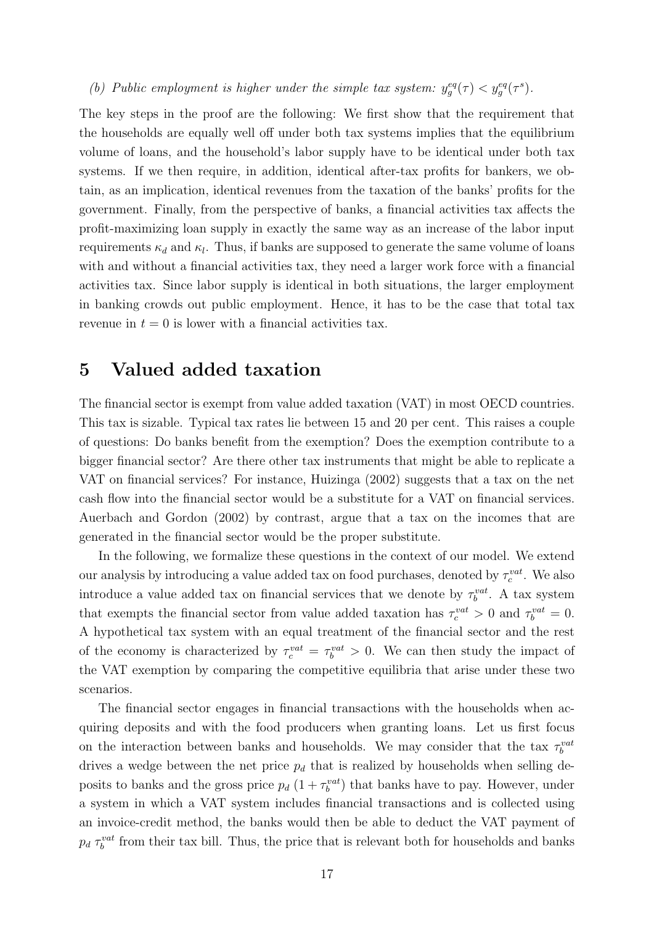(b) Public employment is higher under the simple tax system:  $y_g^{eq}(\tau) < y_g^{eq}(\tau^s)$ .

The key steps in the proof are the following: We first show that the requirement that the households are equally well off under both tax systems implies that the equilibrium volume of loans, and the household's labor supply have to be identical under both tax systems. If we then require, in addition, identical after-tax profits for bankers, we obtain, as an implication, identical revenues from the taxation of the banks' profits for the government. Finally, from the perspective of banks, a financial activities tax affects the profit-maximizing loan supply in exactly the same way as an increase of the labor input requirements  $\kappa_d$  and  $\kappa_l$ . Thus, if banks are supposed to generate the same volume of loans with and without a financial activities tax, they need a larger work force with a financial activities tax. Since labor supply is identical in both situations, the larger employment in banking crowds out public employment. Hence, it has to be the case that total tax revenue in  $t = 0$  is lower with a financial activities tax.

#### <span id="page-19-0"></span>5 Valued added taxation

The financial sector is exempt from value added taxation (VAT) in most OECD countries. This tax is sizable. Typical tax rates lie between 15 and 20 per cent. This raises a couple of questions: Do banks benefit from the exemption? Does the exemption contribute to a bigger financial sector? Are there other tax instruments that might be able to replicate a VAT on financial services? For instance, Huizinga (2002) suggests that a tax on the net cash flow into the financial sector would be a substitute for a VAT on financial services. Auerbach and Gordon (2002) by contrast, argue that a tax on the incomes that are generated in the financial sector would be the proper substitute.

In the following, we formalize these questions in the context of our model. We extend our analysis by introducing a value added tax on food purchases, denoted by  $\tau_c^{vat}$ . We also introduce a value added tax on financial services that we denote by  $\tau_b^{vat}$ . A tax system that exempts the financial sector from value added taxation has  $\tau_c^{vat} > 0$  and  $\tau_b^{vat} = 0$ . A hypothetical tax system with an equal treatment of the financial sector and the rest of the economy is characterized by  $\tau_c^{vat} = \tau_b^{vat} > 0$ . We can then study the impact of the VAT exemption by comparing the competitive equilibria that arise under these two scenarios.

The financial sector engages in financial transactions with the households when acquiring deposits and with the food producers when granting loans. Let us first focus on the interaction between banks and households. We may consider that the tax  $\tau_b^{val}$ drives a wedge between the net price  $p_d$  that is realized by households when selling deposits to banks and the gross price  $p_d$   $(1 + \tau_b^{vat})$  that banks have to pay. However, under a system in which a VAT system includes financial transactions and is collected using an invoice-credit method, the banks would then be able to deduct the VAT payment of  $p_d \tau_b^{vat}$  from their tax bill. Thus, the price that is relevant both for households and banks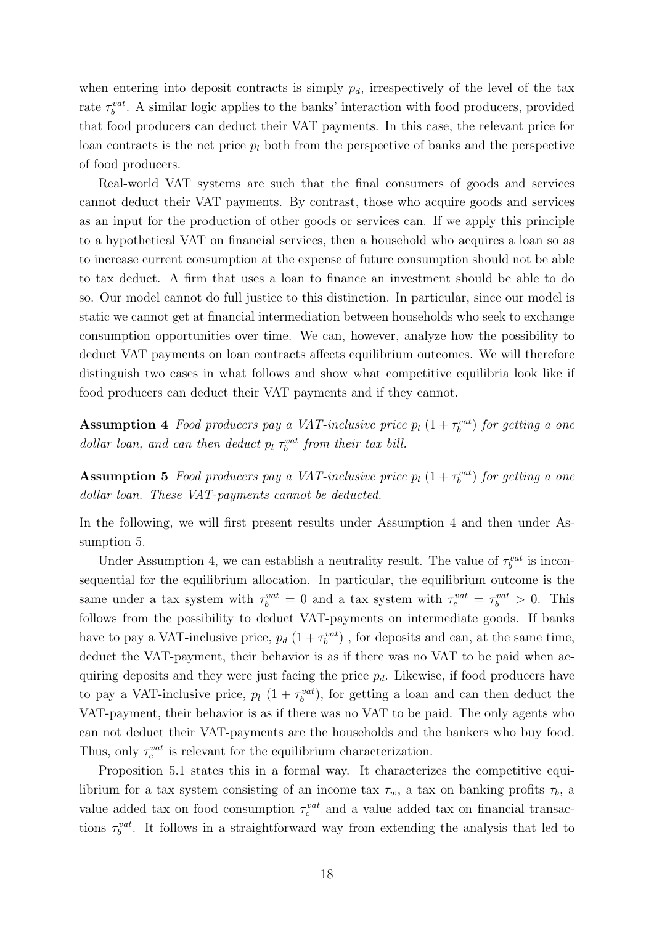when entering into deposit contracts is simply  $p_d$ , irrespectively of the level of the tax rate  $\tau_b^{vat}$ . A similar logic applies to the banks' interaction with food producers, provided that food producers can deduct their VAT payments. In this case, the relevant price for loan contracts is the net price  $p_l$  both from the perspective of banks and the perspective of food producers.

Real-world VAT systems are such that the final consumers of goods and services cannot deduct their VAT payments. By contrast, those who acquire goods and services as an input for the production of other goods or services can. If we apply this principle to a hypothetical VAT on financial services, then a household who acquires a loan so as to increase current consumption at the expense of future consumption should not be able to tax deduct. A firm that uses a loan to finance an investment should be able to do so. Our model cannot do full justice to this distinction. In particular, since our model is static we cannot get at financial intermediation between households who seek to exchange consumption opportunities over time. We can, however, analyze how the possibility to deduct VAT payments on loan contracts affects equilibrium outcomes. We will therefore distinguish two cases in what follows and show what competitive equilibria look like if food producers can deduct their VAT payments and if they cannot.

<span id="page-20-0"></span>**Assumption 4** Food producers pay a VAT-inclusive price  $p_l$   $(1 + \tau_b^{vat})$  for getting a one dollar loan, and can then deduct  $p_l \tau_b^{vat}$  from their tax bill.

<span id="page-20-1"></span>**Assumption 5** Food producers pay a VAT-inclusive price  $p_l$   $(1 + \tau_b^{vat})$  for getting a one dollar loan. These VAT-payments cannot be deducted.

In the following, we will first present results under Assumption [4](#page-20-0) and then under Assumption [5.](#page-20-1)

Under Assumption [4,](#page-20-0) we can establish a neutrality result. The value of  $\tau_b^{vat}$  is inconsequential for the equilibrium allocation. In particular, the equilibrium outcome is the same under a tax system with  $\tau_b^{vat} = 0$  and a tax system with  $\tau_c^{vat} = \tau_b^{vat} > 0$ . This follows from the possibility to deduct VAT-payments on intermediate goods. If banks have to pay a VAT-inclusive price,  $p_d$   $(1 + \tau_b^{vat})$ , for deposits and can, at the same time, deduct the VAT-payment, their behavior is as if there was no VAT to be paid when acquiring deposits and they were just facing the price  $p_d$ . Likewise, if food producers have to pay a VAT-inclusive price,  $p_l$   $(1 + \tau_b^{vat})$ , for getting a loan and can then deduct the VAT-payment, their behavior is as if there was no VAT to be paid. The only agents who can not deduct their VAT-payments are the households and the bankers who buy food. Thus, only  $\tau_c^{vat}$  is relevant for the equilibrium characterization.

Proposition [5.1](#page-21-0) states this in a formal way. It characterizes the competitive equilibrium for a tax system consisting of an income tax  $\tau_w$ , a tax on banking profits  $\tau_b$ , a value added tax on food consumption  $\tau_c^{vat}$  and a value added tax on financial transactions  $\tau_b^{vat}$ . It follows in a straightforward way from extending the analysis that led to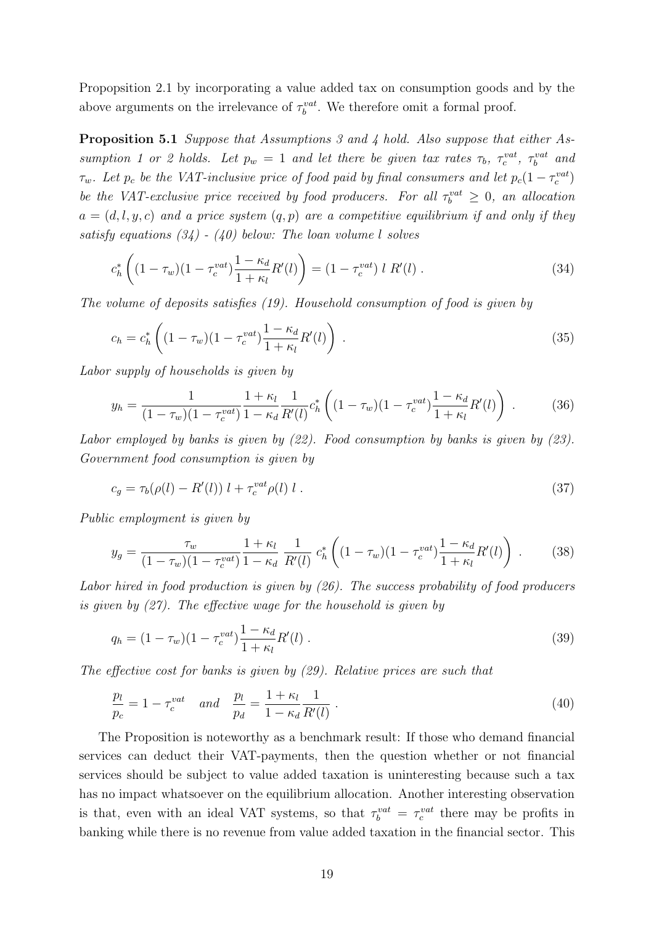Propopsition [2.1](#page-13-4) by incorporating a value added tax on consumption goods and by the above arguments on the irrelevance of  $\tau_b^{vat}$ . We therefore omit a formal proof.

Proposition 5.1 Suppose that Assumptions [3](#page-15-0) and [4](#page-20-0) hold. Also suppose that either As-sumption [1](#page-11-3) or [2](#page-11-2) holds. Let  $p_w = 1$  and let there be given tax rates  $\tau_b$ ,  $\tau_c^{vat}$ ,  $\tau_b^{vat}$  and  $\tau_w$ . Let  $p_c$  be the VAT-inclusive price of food paid by final consumers and let  $p_c(1-\tau_c^{vat})$ be the VAT-exclusive price received by food producers. For all  $\tau_b^{vat} \geq 0$ , an allocation  $a = (d, l, y, c)$  and a price system  $(q, p)$  are a competitive equilibrium if and only if they satisfy equations  $(34) - (40)$  $(34) - (40)$  $(34) - (40)$  below: The loan volume l solves

<span id="page-21-1"></span><span id="page-21-0"></span>
$$
c_h^* \left( (1 - \tau_w)(1 - \tau_c^{vat}) \frac{1 - \kappa_d}{1 + \kappa_l} R'(l) \right) = (1 - \tau_c^{vat}) l R'(l) . \tag{34}
$$

The volume of deposits satisfies [\(19\)](#page-13-3). Household consumption of food is given by

$$
c_h = c_h^* \left( (1 - \tau_w)(1 - \tau_c^{vat}) \frac{1 - \kappa_d}{1 + \kappa_l} R'(l) \right) \,. \tag{35}
$$

Labor supply of households is given by

$$
y_h = \frac{1}{(1 - \tau_w)(1 - \tau_c^{vat})} \frac{1 + \kappa_l}{1 - \kappa_d} \frac{1}{R'(l)} c_h^* \left( (1 - \tau_w)(1 - \tau_c^{vat}) \frac{1 - \kappa_d}{1 + \kappa_l} R'(l) \right) . \tag{36}
$$

Labor employed by banks is given by  $(22)$ . Food consumption by banks is given by  $(23)$ . Government food consumption is given by

$$
c_g = \tau_b(\rho(l) - R'(l)) l + \tau_c^{vat} \rho(l) l . \tag{37}
$$

Public employment is given by

$$
y_g = \frac{\tau_w}{(1 - \tau_w)(1 - \tau_c^{vat})} \frac{1 + \kappa_l}{1 - \kappa_d} \frac{1}{R'(l)} c_h^* \left( (1 - \tau_w)(1 - \tau_c^{vat}) \frac{1 - \kappa_d}{1 + \kappa_l} R'(l) \right) . \tag{38}
$$

Labor hired in food production is given by [\(26\)](#page-14-3). The success probability of food producers is given by [\(27\)](#page-14-4). The effective wage for the household is given by

$$
q_h = (1 - \tau_w)(1 - \tau_c^{vat})\frac{1 - \kappa_d}{1 + \kappa_l}R'(l) \ . \tag{39}
$$

The effective cost for banks is given by [\(29\)](#page-14-5). Relative prices are such that

<span id="page-21-2"></span>
$$
\frac{p_l}{p_c} = 1 - \tau_c^{vat} \quad and \quad \frac{p_l}{p_d} = \frac{1 + \kappa_l}{1 - \kappa_d} \frac{1}{R'(l)} \,. \tag{40}
$$

The Proposition is noteworthy as a benchmark result: If those who demand financial services can deduct their VAT-payments, then the question whether or not financial services should be subject to value added taxation is uninteresting because such a tax has no impact whatsoever on the equilibrium allocation. Another interesting observation is that, even with an ideal VAT systems, so that  $\tau_b^{vat} = \tau_c^{vat}$  there may be profits in banking while there is no revenue from value added taxation in the financial sector. This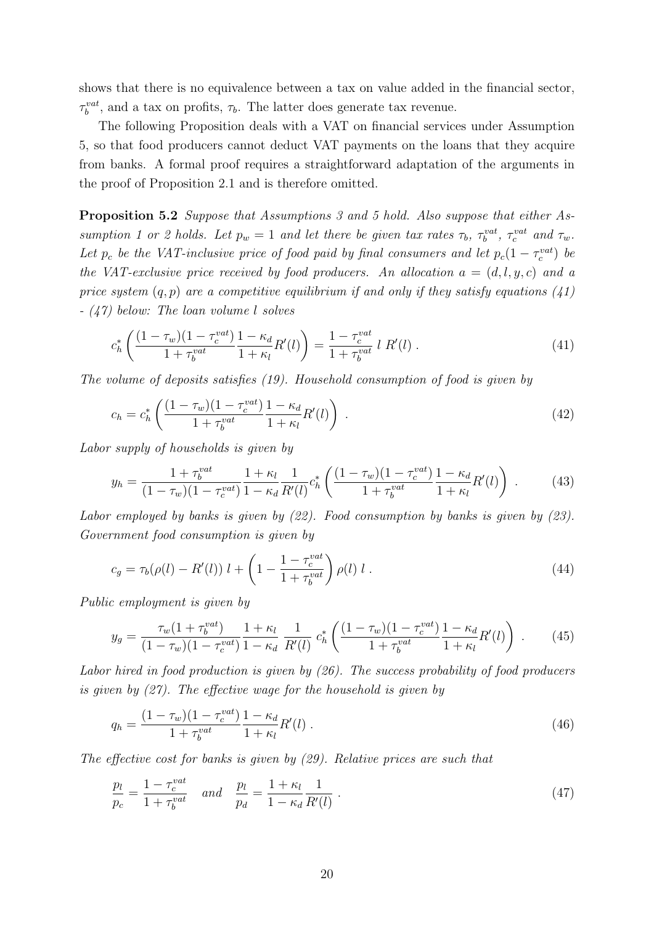shows that there is no equivalence between a tax on value added in the financial sector,  $\tau_b^{vat}$ , and a tax on profits,  $\tau_b$ . The latter does generate tax revenue.

The following Proposition deals with a VAT on financial services under Assumption [5,](#page-20-1) so that food producers cannot deduct VAT payments on the loans that they acquire from banks. A formal proof requires a straightforward adaptation of the arguments in the proof of Proposition [2.1](#page-13-4) and is therefore omitted.

<span id="page-22-2"></span>Proposition 5.2 Suppose that Assumptions [3](#page-15-0) and [5](#page-20-1) hold. Also suppose that either As-sumption [1](#page-11-3) or [2](#page-11-2) holds. Let  $p_w = 1$  and let there be given tax rates  $\tau_b$ ,  $\tau_b^{vat}$ ,  $\tau_c^{vat}$  and  $\tau_w$ . Let  $p_c$  be the VAT-inclusive price of food paid by final consumers and let  $p_c(1-\tau_c^{vat})$  be the VAT-exclusive price received by food producers. An allocation  $a = (d, l, y, c)$  and a price system  $(q, p)$  are a competitive equilibrium if and only if they satisfy equations  $(41)$ - [\(47\)](#page-22-1) below: The loan volume l solves

<span id="page-22-0"></span>
$$
c_h^* \left( \frac{(1 - \tau_w)(1 - \tau_c^{vat})}{1 + \tau_b^{vat}} \frac{1 - \kappa_d}{1 + \kappa_l} R'(l) \right) = \frac{1 - \tau_c^{vat}}{1 + \tau_b^{vat}} l R'(l) . \tag{41}
$$

The volume of deposits satisfies [\(19\)](#page-13-3). Household consumption of food is given by

$$
c_h = c_h^* \left( \frac{(1 - \tau_w)(1 - \tau_c^{vat})}{1 + \tau_b^{vat}} \frac{1 - \kappa_d}{1 + \kappa_l} R'(l) \right) \,. \tag{42}
$$

Labor supply of households is given by

$$
y_h = \frac{1 + \tau_b^{vat}}{(1 - \tau_w)(1 - \tau_c^{vat})} \frac{1 + \kappa_l}{1 - \kappa_d} \frac{1}{R'(l)} c_h^* \left( \frac{(1 - \tau_w)(1 - \tau_c^{vat})}{1 + \tau_b^{vat}} \frac{1 - \kappa_d}{1 + \kappa_l} R'(l) \right) . \tag{43}
$$

Labor employed by banks is given by  $(22)$ . Food consumption by banks is given by  $(23)$ . Government food consumption is given by

$$
c_g = \tau_b(\rho(l) - R'(l)) l + \left(1 - \frac{1 - \tau_c^{vat}}{1 + \tau_b^{vat}}\right) \rho(l) l . \tag{44}
$$

Public employment is given by

$$
y_g = \frac{\tau_w (1 + \tau_b^{vat})}{(1 - \tau_w)(1 - \tau_c^{vat})} \frac{1 + \kappa_l}{1 - \kappa_d} \frac{1}{R'(l)} c_h^* \left( \frac{(1 - \tau_w)(1 - \tau_c^{vat})}{1 + \tau_b^{vat}} \frac{1 - \kappa_d}{1 + \kappa_l} R'(l) \right) . \tag{45}
$$

Labor hired in food production is given by [\(26\)](#page-14-3). The success probability of food producers is given by [\(27\)](#page-14-4). The effective wage for the household is given by

$$
q_h = \frac{(1 - \tau_w)(1 - \tau_c^{vat})}{1 + \tau_b^{vat}} \frac{1 - \kappa_d}{1 + \kappa_l} R'(l) \,. \tag{46}
$$

The effective cost for banks is given by [\(29\)](#page-14-5). Relative prices are such that

<span id="page-22-1"></span>
$$
\frac{p_l}{p_c} = \frac{1 - \tau_c^{vat}}{1 + \tau_b^{vat}} \quad and \quad \frac{p_l}{p_d} = \frac{1 + \kappa_l}{1 - \kappa_d} \frac{1}{R'(l)} \,. \tag{47}
$$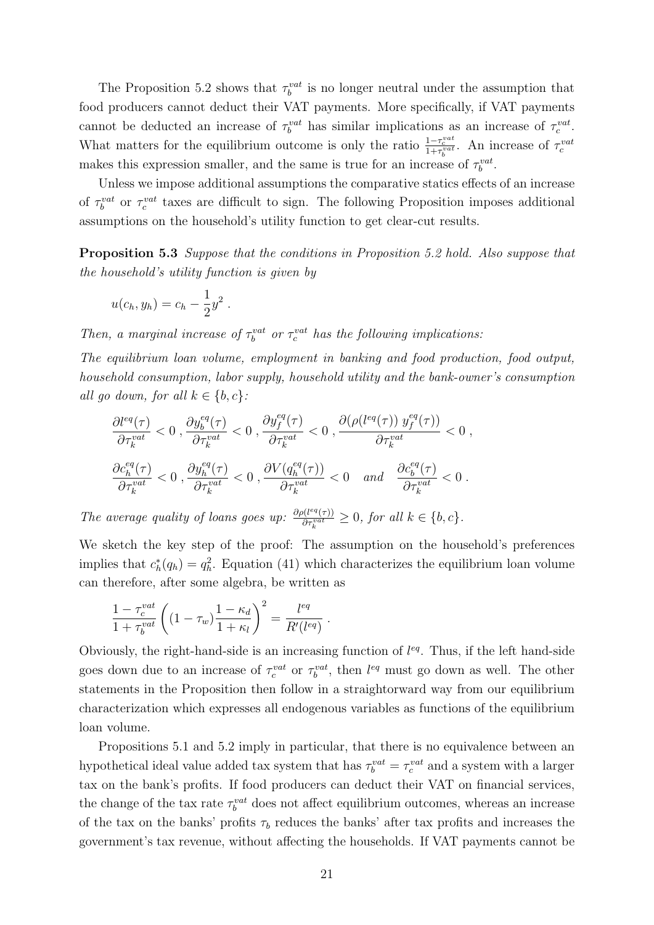The Proposition [5.2](#page-22-2) shows that  $\tau_b^{vat}$  is no longer neutral under the assumption that food producers cannot deduct their VAT payments. More specifically, if VAT payments cannot be deducted an increase of  $\tau_b^{vat}$  has similar implications as an increase of  $\tau_c^{vat}$ . What matters for the equilibrium outcome is only the ratio  $\frac{1-\tau_c^{vat}}{1+\tau_b^{vat}}$ . An increase of  $\tau_c^{vat}$ makes this expression smaller, and the same is true for an increase of  $\tau_b^{vat}$ .

Unless we impose additional assumptions the comparative statics effects of an increase of  $\tau_b^{vat}$  or  $\tau_c^{vat}$  taxes are difficult to sign. The following Proposition imposes additional assumptions on the household's utility function to get clear-cut results.

Proposition 5.3 Suppose that the conditions in Proposition [5.2](#page-22-2) hold. Also suppose that the household's utility function is given by

$$
u(c_h, y_h) = c_h - \frac{1}{2}y^2.
$$

Then, a marginal increase of  $\tau_b^{vat}$  or  $\tau_c^{vat}$  has the following implications:

The equilibrium loan volume, employment in banking and food production, food output, household consumption, labor supply, household utility and the bank-owner's consumption all go down, for all  $k \in \{b, c\}$ :

$$
\frac{\partial l^{eq}(\tau)}{\partial \tau_k^{vat}} < 0 \ , \frac{\partial y_b^{eq}(\tau)}{\partial \tau_k^{vat}} < 0 \ , \frac{\partial y_f^{eq}(\tau)}{\partial \tau_k^{vat}} < 0 \ , \frac{\partial (\rho(l^{eq}(\tau)) \ y_f^{eq}(\tau))}{\partial \tau_k^{vat}} < 0 \ , \frac{\partial c_h^{eq}(\tau)}{\partial \tau_k^{vat}} < 0 \ , \frac{\partial c_h^{eq}(\tau)}{\partial \tau_k^{vat}} < 0 \ , \frac{\partial y_h^{eq}(\tau)}{\partial \tau_k^{vat}} < 0 \ , \frac{\partial V(q_h^{eq}(\tau))}{\partial \tau_k^{vat}} < 0 \ , \frac{\partial c_b^{eq}(\tau)}{\partial \tau_k^{vat}} < 0 \ .
$$

The average quality of loans goes up:  $\frac{\partial \rho(l^{eq}(\tau))}{\partial \tau^{vat}}$  $\frac{\partial (l^{eq}(\tau))}{\partial \tau_k^{vat}} \geq 0$ , for all  $k \in \{b, c\}$ .

We sketch the key step of the proof: The assumption on the household's preferences implies that  $c_h^*(q_h) = q_h^2$ . Equation [\(41\)](#page-22-0) which characterizes the equilibrium loan volume can therefore, after some algebra, be written as

$$
\frac{1-\tau_c^{vat}}{1+\tau_b^{vat}}\left((1-\tau_w)\frac{1-\kappa_d}{1+\kappa_l}\right)^2 = \frac{l^{eq}}{R'(l^{eq})}.
$$

Obviously, the right-hand-side is an increasing function of  $l^{eq}$ . Thus, if the left hand-side goes down due to an increase of  $\tau_c^{vat}$  or  $\tau_b^{vat}$ , then  $l^{eq}$  must go down as well. The other statements in the Proposition then follow in a straightorward way from our equilibrium characterization which expresses all endogenous variables as functions of the equilibrium loan volume.

Propositions [5.1](#page-21-0) and [5.2](#page-22-2) imply in particular, that there is no equivalence between an hypothetical ideal value added tax system that has  $\tau_b^{vat} = \tau_c^{vat}$  and a system with a larger tax on the bank's profits. If food producers can deduct their VAT on financial services, the change of the tax rate  $\tau_b^{vat}$  does not affect equilibrium outcomes, whereas an increase of the tax on the banks' profits  $\tau_b$  reduces the banks' after tax profits and increases the government's tax revenue, without affecting the households. If VAT payments cannot be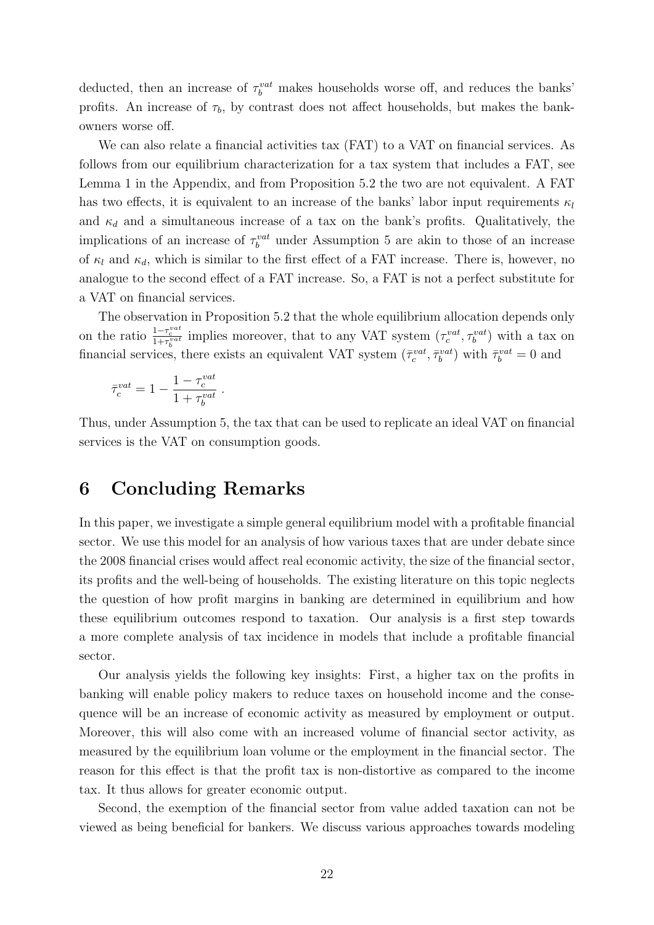deducted, then an increase of  $\tau_b^{vat}$  makes households worse off, and reduces the banks' profits. An increase of  $\tau_b$ , by contrast does not affect households, but makes the bankowners worse off.

We can also relate a financial activities tax (FAT) to a VAT on financial services. As follows from our equilibrium characterization for a tax system that includes a FAT, see Lemma [1](#page-30-0) in the Appendix, and from Proposition [5.2](#page-22-2) the two are not equivalent. A FAT has two effects, it is equivalent to an increase of the banks' labor input requirements  $\kappa_l$ and  $\kappa_d$  and a simultaneous increase of a tax on the bank's profits. Qualitatively, the implications of an increase of  $\tau_b^{vat}$  under Assumption [5](#page-20-1) are akin to those of an increase of  $\kappa_l$  and  $\kappa_d$ , which is similar to the first effect of a FAT increase. There is, however, no analogue to the second effect of a FAT increase. So, a FAT is not a perfect substitute for a VAT on financial services.

The observation in Proposition [5.2](#page-22-2) that the whole equilibrium allocation depends only on the ratio  $\frac{1-\tau_c^{vat}}{1+\tau_c^{vat}}$  implies moreover, that to any VAT system  $(\tau_c^{vat}, \tau_b^{vat})$  with a tax on financial services, there exists an equivalent VAT system  $(\bar{\tau}_c^{vat}, \bar{\tau}_b^{vat})$  with  $\bar{\tau}_b^{vat} = 0$  and

$$
\bar{\tau}_c^{vat} = 1 - \frac{1-\tau_c^{vat}}{1+\tau_b^{vat}}
$$

Thus, under Assumption [5,](#page-20-1) the tax that can be used to replicate an ideal VAT on financial services is the VAT on consumption goods.

#### 6 Concluding Remarks

.

In this paper, we investigate a simple general equilibrium model with a profitable financial sector. We use this model for an analysis of how various taxes that are under debate since the 2008 financial crises would affect real economic activity, the size of the financial sector, its profits and the well-being of households. The existing literature on this topic neglects the question of how profit margins in banking are determined in equilibrium and how these equilibrium outcomes respond to taxation. Our analysis is a first step towards a more complete analysis of tax incidence in models that include a profitable financial sector.

Our analysis yields the following key insights: First, a higher tax on the profits in banking will enable policy makers to reduce taxes on household income and the consequence will be an increase of economic activity as measured by employment or output. Moreover, this will also come with an increased volume of financial sector activity, as measured by the equilibrium loan volume or the employment in the financial sector. The reason for this effect is that the profit tax is non-distortive as compared to the income tax. It thus allows for greater economic output.

Second, the exemption of the financial sector from value added taxation can not be viewed as being beneficial for bankers. We discuss various approaches towards modeling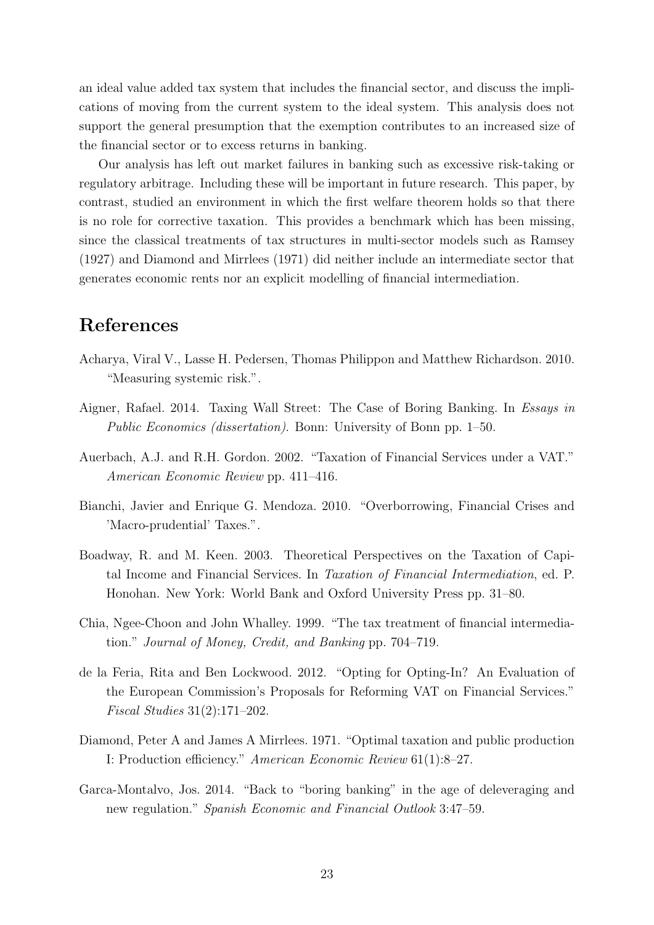an ideal value added tax system that includes the financial sector, and discuss the implications of moving from the current system to the ideal system. This analysis does not support the general presumption that the exemption contributes to an increased size of the financial sector or to excess returns in banking.

Our analysis has left out market failures in banking such as excessive risk-taking or regulatory arbitrage. Including these will be important in future research. This paper, by contrast, studied an environment in which the first welfare theorem holds so that there is no role for corrective taxation. This provides a benchmark which has been missing, since the classical treatments of tax structures in multi-sector models such as Ramsey (1927) and Diamond and Mirrlees (1971) did neither include an intermediate sector that generates economic rents nor an explicit modelling of financial intermediation.

## References

- Acharya, Viral V., Lasse H. Pedersen, Thomas Philippon and Matthew Richardson. 2010. "Measuring systemic risk.".
- Aigner, Rafael. 2014. Taxing Wall Street: The Case of Boring Banking. In Essays in Public Economics (dissertation). Bonn: University of Bonn pp. 1–50.
- Auerbach, A.J. and R.H. Gordon. 2002. "Taxation of Financial Services under a VAT." American Economic Review pp. 411–416.
- Bianchi, Javier and Enrique G. Mendoza. 2010. "Overborrowing, Financial Crises and 'Macro-prudential' Taxes.".
- Boadway, R. and M. Keen. 2003. Theoretical Perspectives on the Taxation of Capital Income and Financial Services. In Taxation of Financial Intermediation, ed. P. Honohan. New York: World Bank and Oxford University Press pp. 31–80.
- Chia, Ngee-Choon and John Whalley. 1999. "The tax treatment of financial intermediation." Journal of Money, Credit, and Banking pp. 704–719.
- de la Feria, Rita and Ben Lockwood. 2012. "Opting for Opting-In? An Evaluation of the European Commission's Proposals for Reforming VAT on Financial Services." Fiscal Studies 31(2):171–202.
- Diamond, Peter A and James A Mirrlees. 1971. "Optimal taxation and public production I: Production efficiency." American Economic Review 61(1):8–27.
- Garca-Montalvo, Jos. 2014. "Back to "boring banking" in the age of deleveraging and new regulation." Spanish Economic and Financial Outlook 3:47–59.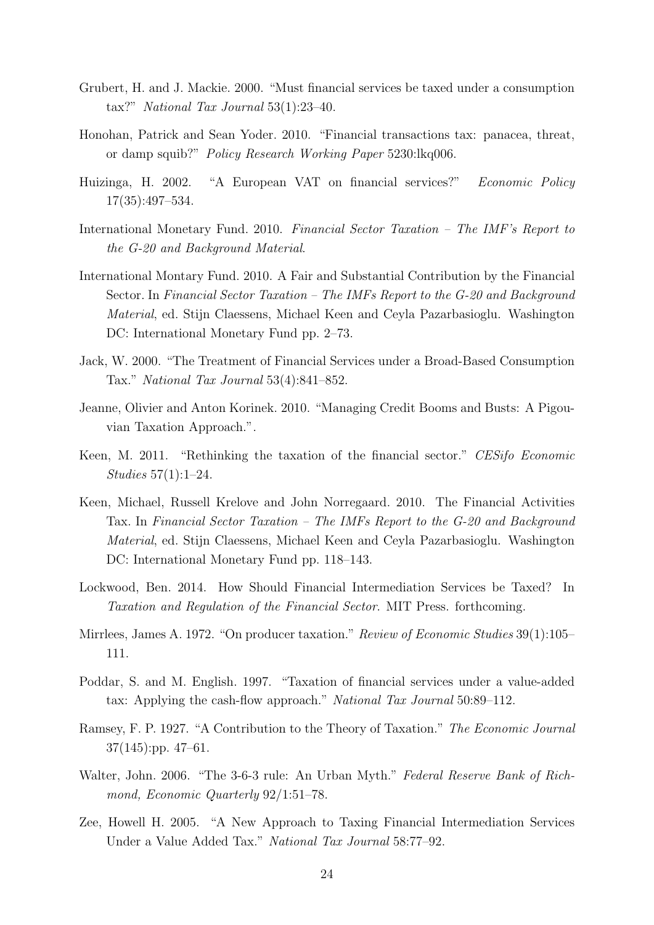- Grubert, H. and J. Mackie. 2000. "Must financial services be taxed under a consumption tax?" National Tax Journal 53(1):23–40.
- Honohan, Patrick and Sean Yoder. 2010. "Financial transactions tax: panacea, threat, or damp squib?" Policy Research Working Paper 5230:lkq006.
- Huizinga, H. 2002. "A European VAT on financial services?" Economic Policy 17(35):497–534.
- International Monetary Fund. 2010. Financial Sector Taxation The IMF's Report to the G-20 and Background Material.
- International Montary Fund. 2010. A Fair and Substantial Contribution by the Financial Sector. In Financial Sector Taxation – The IMFs Report to the G-20 and Background Material, ed. Stijn Claessens, Michael Keen and Ceyla Pazarbasioglu. Washington DC: International Monetary Fund pp. 2–73.
- Jack, W. 2000. "The Treatment of Financial Services under a Broad-Based Consumption Tax." National Tax Journal 53(4):841–852.
- Jeanne, Olivier and Anton Korinek. 2010. "Managing Credit Booms and Busts: A Pigouvian Taxation Approach.".
- Keen, M. 2011. "Rethinking the taxation of the financial sector." CESifo Economic Studies 57(1):1–24.
- Keen, Michael, Russell Krelove and John Norregaard. 2010. The Financial Activities Tax. In Financial Sector Taxation – The IMFs Report to the G-20 and Background Material, ed. Stijn Claessens, Michael Keen and Ceyla Pazarbasioglu. Washington DC: International Monetary Fund pp. 118–143.
- Lockwood, Ben. 2014. How Should Financial Intermediation Services be Taxed? In Taxation and Regulation of the Financial Sector. MIT Press. forthcoming.
- Mirrlees, James A. 1972. "On producer taxation." Review of Economic Studies 39(1):105– 111.
- Poddar, S. and M. English. 1997. "Taxation of financial services under a value-added tax: Applying the cash-flow approach." National Tax Journal 50:89–112.
- Ramsey, F. P. 1927. "A Contribution to the Theory of Taxation." The Economic Journal 37(145):pp. 47–61.
- Walter, John. 2006. "The 3-6-3 rule: An Urban Myth." Federal Reserve Bank of Richmond, Economic Quarterly 92/1:51–78.
- Zee, Howell H. 2005. "A New Approach to Taxing Financial Intermediation Services Under a Value Added Tax." National Tax Journal 58:77–92.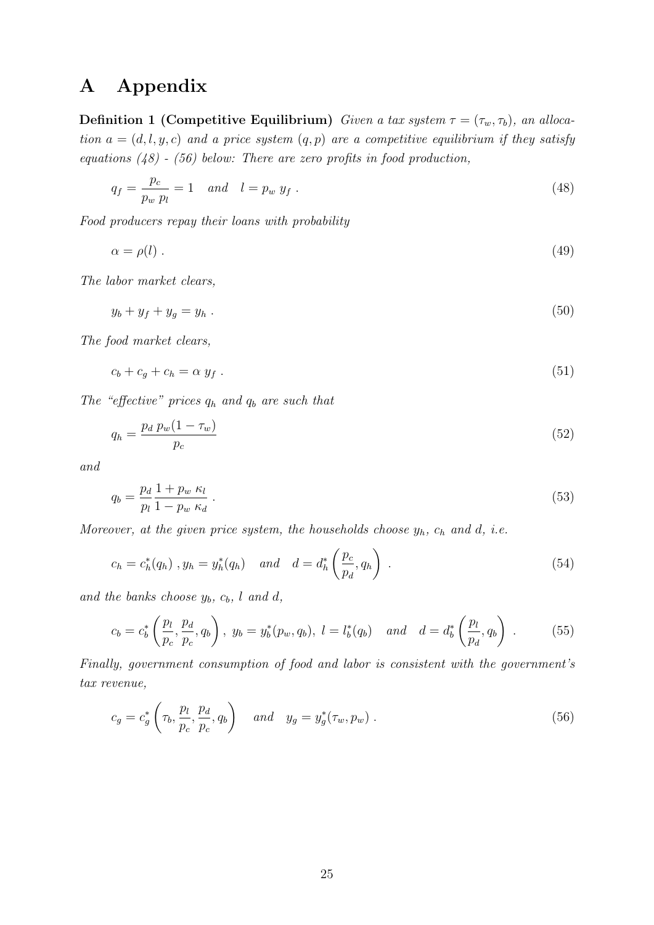## A Appendix

**Definition 1 (Competitive Equilibrium)** Given a tax system  $\tau = (\tau_w, \tau_b)$ , an allocation  $a = (d, l, y, c)$  and a price system  $(q, p)$  are a competitive equilibrium if they satisfy equations  $(48)$  -  $(56)$  below: There are zero profits in food production,

<span id="page-27-0"></span>
$$
q_f = \frac{p_c}{p_w p_l} = 1 \quad and \quad l = p_w y_f \tag{48}
$$

Food producers repay their loans with probability

<span id="page-27-2"></span>
$$
\alpha = \rho(l) \tag{49}
$$

The labor market clears,

<span id="page-27-7"></span>
$$
y_b + y_f + y_g = y_h \tag{50}
$$

The food market clears,

<span id="page-27-8"></span>
$$
c_b + c_g + c_h = \alpha y_f \tag{51}
$$

The "effective" prices  $q_h$  and  $q_b$  are such that

<span id="page-27-4"></span>
$$
q_h = \frac{p_d \ p_w (1 - \tau_w)}{p_c} \tag{52}
$$

and

<span id="page-27-3"></span>
$$
q_b = \frac{p_d}{p_l} \frac{1 + p_w \kappa_l}{1 - p_w \kappa_d} \,. \tag{53}
$$

Moreover, at the given price system, the households choose  $y_h$ ,  $c_h$  and d, i.e.

<span id="page-27-5"></span>
$$
c_h = c_h^*(q_h) \, , y_h = y_h^*(q_h) \quad \text{and} \quad d = d_h^*\left(\frac{p_c}{p_d}, q_h\right) \, . \tag{54}
$$

and the banks choose  $y_b$ ,  $c_b$ ,  $l$  and  $d$ ,

<span id="page-27-6"></span>
$$
c_b = c_b^* \left( \frac{p_l}{p_c}, \frac{p_d}{p_c}, q_b \right), \ y_b = y_b^*(p_w, q_b), \ l = l_b^*(q_b) \quad \text{and} \quad d = d_b^* \left( \frac{p_l}{p_d}, q_b \right). \tag{55}
$$

Finally, government consumption of food and labor is consistent with the government's tax revenue,

<span id="page-27-1"></span>
$$
c_g = c_g^* \left(\tau_b, \frac{p_l}{p_c}, \frac{p_d}{p_c}, q_b\right) \quad and \quad y_g = y_g^*(\tau_w, p_w) \tag{56}
$$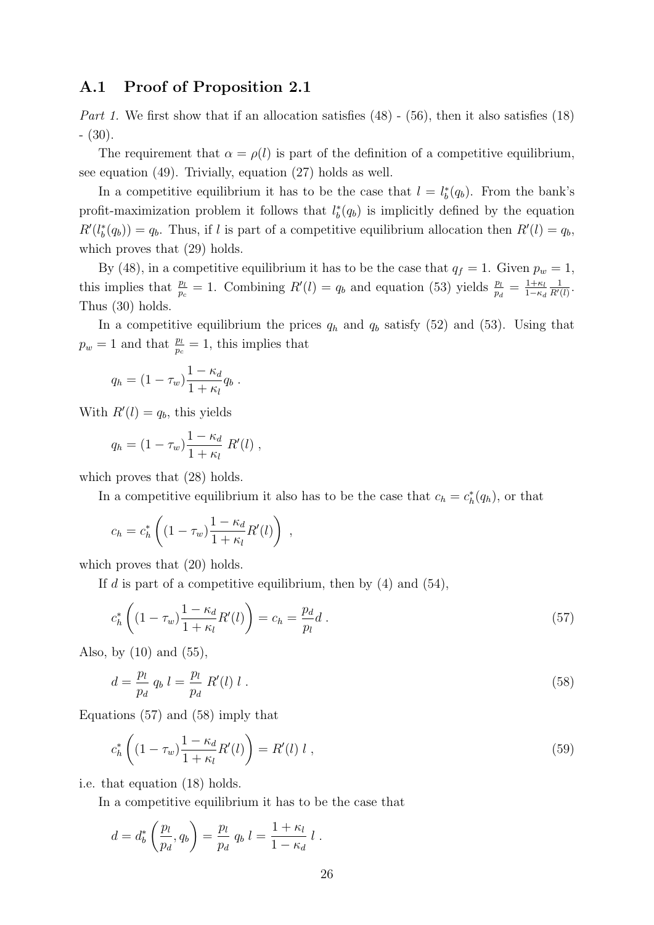#### A.1 Proof of Proposition [2.1](#page-13-4)

Part 1. We first show that if an allocation satisfies  $(48)$  -  $(56)$ , then it also satisfies  $(18)$ - [\(30\)](#page-14-0).

The requirement that  $\alpha = \rho(l)$  is part of the definition of a competitive equilibrium, see equation [\(49\)](#page-27-2). Trivially, equation [\(27\)](#page-14-4) holds as well.

In a competitive equilibrium it has to be the case that  $l = l_b^*(q_b)$ . From the bank's profit-maximization problem it follows that  $l_b^*(q_b)$  is implicitly defined by the equation  $R'(l_b^*(q_b)) = q_b$ . Thus, if l is part of a competitive equilibrium allocation then  $R'(l) = q_b$ , which proves that  $(29)$  holds.

By [\(48\)](#page-27-0), in a competitive equilibrium it has to be the case that  $q_f = 1$ . Given  $p_w = 1$ , this implies that  $\frac{p_l}{p_c} = 1$ . Combining  $R'(l) = q_b$  and equation [\(53\)](#page-27-3) yields  $\frac{p_l}{p_d} = \frac{1+\kappa_l}{1-\kappa_c}$  $1-\kappa_d$ 1  $\frac{1}{R'(l)}$ . Thus [\(30\)](#page-14-0) holds.

In a competitive equilibrium the prices  $q_h$  and  $q_b$  satisfy [\(52\)](#page-27-4) and [\(53\)](#page-27-3). Using that  $p_w = 1$  and that  $\frac{p_l}{p_c} = 1$ , this implies that

$$
q_h = (1 - \tau_w) \frac{1 - \kappa_d}{1 + \kappa_l} q_b.
$$

With  $R'(l) = q_b$ , this yields

$$
q_h = (1 - \tau_w) \frac{1 - \kappa_d}{1 + \kappa_l} R'(l) ,
$$

which proves that  $(28)$  holds.

In a competitive equilibrium it also has to be the case that  $c_h = c_h^*(q_h)$ , or that

$$
c_h = c_h^* \left( (1 - \tau_w) \frac{1 - \kappa_d}{1 + \kappa_l} R'(l) \right) ,
$$

which proves that  $(20)$  holds.

If d is part of a competitive equilibrium, then by  $(4)$  and  $(54)$ ,

<span id="page-28-0"></span>
$$
c_h^* \left( (1 - \tau_w) \frac{1 - \kappa_d}{1 + \kappa_l} R'(l) \right) = c_h = \frac{p_d}{p_l} d \,. \tag{57}
$$

Also, by [\(10\)](#page-10-2) and [\(55\)](#page-27-6),

<span id="page-28-1"></span>
$$
d = \frac{p_l}{p_d} q_b l = \frac{p_l}{p_d} R'(l) l . \tag{58}
$$

Equations [\(57\)](#page-28-0) and [\(58\)](#page-28-1) imply that

$$
c_h^* \left( (1 - \tau_w) \frac{1 - \kappa_d}{1 + \kappa_l} R'(l) \right) = R'(l) l , \qquad (59)
$$

i.e. that equation [\(18\)](#page-13-2) holds.

In a competitive equilibrium it has to be the case that

$$
d = d_b^* \left( \frac{p_l}{p_d}, q_b \right) = \frac{p_l}{p_d} q_b l = \frac{1 + \kappa_l}{1 - \kappa_d} l.
$$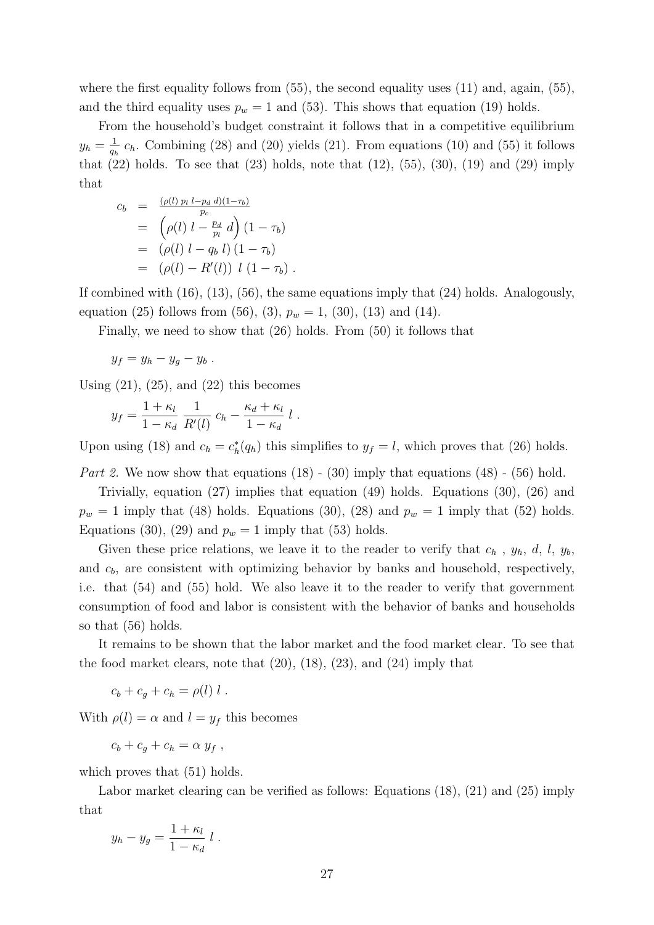where the first equality follows from  $(55)$ , the second equality uses  $(11)$  and, again,  $(55)$ , and the third equality uses  $p_w = 1$  and [\(53\)](#page-27-3). This shows that equation [\(19\)](#page-13-3) holds.

From the household's budget constraint it follows that in a competitive equilibrium  $y_h = \frac{1}{a}$  $\frac{1}{q_h}$   $c_h$ . Combining [\(28\)](#page-14-6) and [\(20\)](#page-13-5) yields [\(21\)](#page-14-7). From equations [\(10\)](#page-10-2) and [\(55\)](#page-27-6) it follows that  $(22)$  holds. To see that  $(23)$  holds, note that  $(12)$ ,  $(55)$ ,  $(30)$ ,  $(19)$  and  $(29)$  imply that

$$
c_b = \frac{(\rho(l) p_l l - p_d d)(1 - \tau_b)}{p_c}
$$
  
=  $(\rho(l) l - \frac{p_d}{p_l} d) (1 - \tau_b)$   
=  $(\rho(l) l - q_b l) (1 - \tau_b)$   
=  $(\rho(l) - R'(l)) l (1 - \tau_b).$ 

If combined with [\(16\)](#page-12-0), [\(13\)](#page-12-1), [\(56\)](#page-27-1), the same equations imply that [\(24\)](#page-14-8) holds. Analogously, equation [\(25\)](#page-14-9) follows from [\(56\)](#page-27-1), [\(3\)](#page-8-1),  $p_w = 1$ , [\(30\)](#page-14-0), [\(13\)](#page-12-1) and [\(14\)](#page-12-2).

Finally, we need to show that [\(26\)](#page-14-3) holds. From [\(50\)](#page-27-7) it follows that

$$
y_f = y_h - y_g - y_b.
$$

Using  $(21)$ ,  $(25)$ , and  $(22)$  this becomes

$$
y_f = \frac{1+\kappa_l}{1-\kappa_d} \; \frac{1}{R'(l)} \; c_h - \frac{\kappa_d+\kappa_l}{1-\kappa_d} \; l \; .
$$

Upon using [\(18\)](#page-13-2) and  $c_h = c_h^*(q_h)$  this simplifies to  $y_f = l$ , which proves that [\(26\)](#page-14-3) holds.

Part 2. We now show that equations  $(18)$  -  $(30)$  imply that equations  $(48)$  -  $(56)$  hold.

Trivially, equation [\(27\)](#page-14-4) implies that equation [\(49\)](#page-27-2) holds. Equations [\(30\)](#page-14-0), [\(26\)](#page-14-3) and  $p_w = 1$  imply that [\(48\)](#page-27-0) holds. Equations [\(30\)](#page-14-0), [\(28\)](#page-14-6) and  $p_w = 1$  imply that [\(52\)](#page-27-4) holds. Equations [\(30\)](#page-14-0), [\(29\)](#page-14-5) and  $p_w = 1$  imply that [\(53\)](#page-27-3) holds.

Given these price relations, we leave it to the reader to verify that  $c_h$ ,  $y_h$ ,  $d$ ,  $l$ ,  $y_b$ , and  $c<sub>b</sub>$ , are consistent with optimizing behavior by banks and household, respectively, i.e. that [\(54\)](#page-27-5) and [\(55\)](#page-27-6) hold. We also leave it to the reader to verify that government consumption of food and labor is consistent with the behavior of banks and households so that [\(56\)](#page-27-1) holds.

It remains to be shown that the labor market and the food market clear. To see that the food market clears, note that  $(20)$ ,  $(18)$ ,  $(23)$ , and  $(24)$  imply that

$$
c_b + c_g + c_h = \rho(l) l .
$$

With  $\rho(l) = \alpha$  and  $l = y_f$  this becomes

$$
c_b + c_g + c_h = \alpha y_f,
$$

which proves that  $(51)$  holds.

Labor market clearing can be verified as follows: Equations [\(18\)](#page-13-2), [\(21\)](#page-14-7) and [\(25\)](#page-14-9) imply that

$$
y_h - y_g = \frac{1 + \kappa_l}{1 - \kappa_d} l.
$$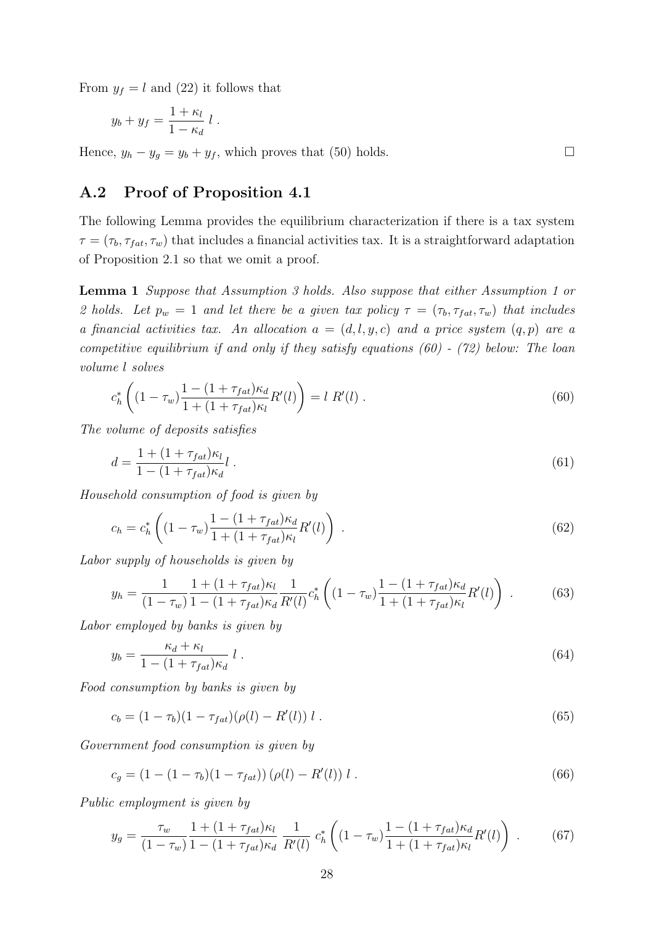From  $y_f = l$  and [\(22\)](#page-14-1) it follows that

$$
y_b + y_f = \frac{1 + \kappa_l}{1 - \kappa_d} l.
$$

Hence,  $y_h - y_g = y_b + y_f$ , which proves that [\(50\)](#page-27-7) holds.

#### A.2 Proof of Proposition [4.1](#page-18-0)

The following Lemma provides the equilibrium characterization if there is a tax system  $\tau = (\tau_b, \tau_{fat}, \tau_w)$  that includes a financial activities tax. It is a straightforward adaptation of Proposition [2.1](#page-13-4) so that we omit a proof.

<span id="page-30-0"></span>Lemma 1 Suppose that Assumption [3](#page-15-0) holds. Also suppose that either Assumption [1](#page-11-3) or [2](#page-11-2) holds. Let  $p_w = 1$  and let there be a given tax policy  $\tau = (\tau_b, \tau_{fat}, \tau_w)$  that includes a financial activities tax. An allocation  $a = (d, l, y, c)$  and a price system  $(q, p)$  are a competitive equilibrium if and only if they satisfy equations [\(60\)](#page-30-1) - [\(72\)](#page-31-0) below: The loan volume l solves

<span id="page-30-1"></span>
$$
c_h^* \left( (1 - \tau_w) \frac{1 - (1 + \tau_{fat}) \kappa_d}{1 + (1 + \tau_{fat}) \kappa_l} R'(l) \right) = l \; R'(l) \; . \tag{60}
$$

The volume of deposits satisfies

$$
d = \frac{1 + (1 + \tau_{fat})\kappa_l}{1 - (1 + \tau_{fat})\kappa_d} l \tag{61}
$$

Household consumption of food is given by

$$
c_h = c_h^* \left( (1 - \tau_w) \frac{1 - (1 + \tau_{fat}) \kappa_d}{1 + (1 + \tau_{fat}) \kappa_l} R'(l) \right) \,. \tag{62}
$$

Labor supply of households is given by

$$
y_h = \frac{1}{(1 - \tau_w)} \frac{1 + (1 + \tau_{fat})\kappa_l}{1 - (1 + \tau_{fat})\kappa_d} \frac{1}{R'(l)} c_h^* \left( (1 - \tau_w) \frac{1 - (1 + \tau_{fat})\kappa_d}{1 + (1 + \tau_{fat})\kappa_l} R'(l) \right) . \tag{63}
$$

Labor employed by banks is given by

$$
y_b = \frac{\kappa_d + \kappa_l}{1 - (1 + \tau_{fat})\kappa_d} l \tag{64}
$$

Food consumption by banks is given by

$$
c_b = (1 - \tau_b)(1 - \tau_{fat})(\rho(l) - R'(l)) l . \qquad (65)
$$

Government food consumption is given by

$$
c_g = (1 - (1 - \tau_b)(1 - \tau_{fat})) (\rho(l) - R'(l)) l . \qquad (66)
$$

Public employment is given by

$$
y_g = \frac{\tau_w}{(1 - \tau_w)} \frac{1 + (1 + \tau_{fat})\kappa_l}{1 - (1 + \tau_{fat})\kappa_d} \frac{1}{R'(l)} c_h^* \left( (1 - \tau_w) \frac{1 - (1 + \tau_{fat})\kappa_d}{1 + (1 + \tau_{fat})\kappa_l} R'(l) \right) . \tag{67}
$$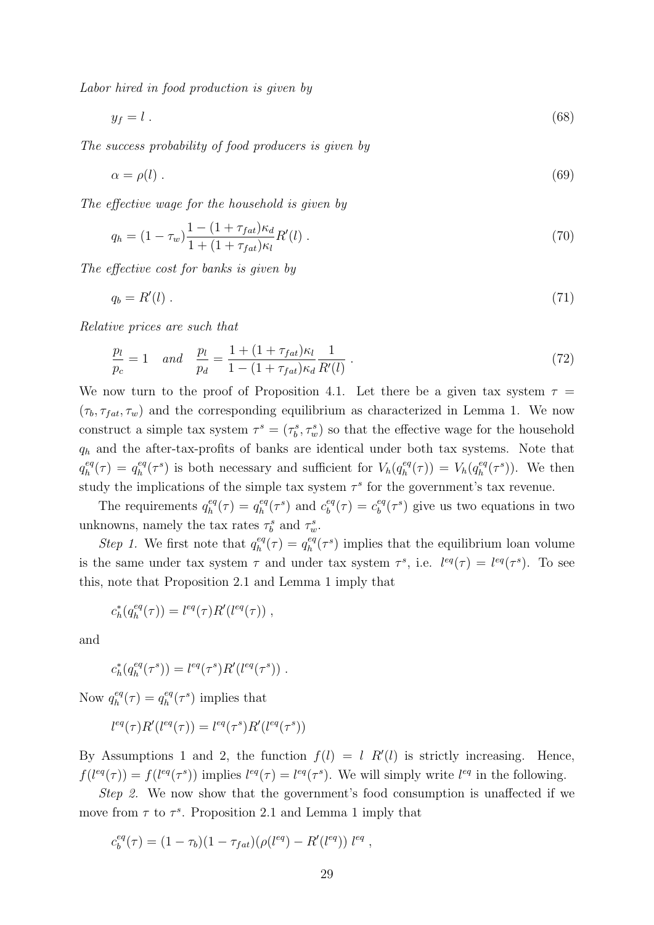Labor hired in food production is given by

$$
y_f = l \tag{68}
$$

The success probability of food producers is given by

$$
\alpha = \rho(l) \tag{69}
$$

The effective wage for the household is given by

$$
q_h = (1 - \tau_w) \frac{1 - (1 + \tau_{fat}) \kappa_d}{1 + (1 + \tau_{fat}) \kappa_l} R'(l) \,. \tag{70}
$$

The effective cost for banks is given by

$$
q_b = R'(l) \tag{71}
$$

Relative prices are such that

<span id="page-31-0"></span>
$$
\frac{p_l}{p_c} = 1 \quad and \quad \frac{p_l}{p_d} = \frac{1 + (1 + \tau_{fat})\kappa_l}{1 - (1 + \tau_{fat})\kappa_d} \frac{1}{R'(l)} \,. \tag{72}
$$

We now turn to the proof of Proposition [4.1.](#page-18-0) Let there be a given tax system  $\tau =$  $(\tau_b, \tau_{fat}, \tau_w)$  and the corresponding equilibrium as characterized in Lemma [1.](#page-30-0) We now construct a simple tax system  $\tau^s = (\tau_b^s, \tau_w^s)$  so that the effective wage for the household  $q_h$  and the after-tax-profits of banks are identical under both tax systems. Note that  $q_h^{eq}$  $q_h^{eq}(\tau) = q_h^{eq}$  $\frac{eq}{h}(\tau^s)$  is both necessary and sufficient for  $V_h(q_h^{eq})$  $V_h^{eq}(\tau)$ ) =  $V_h(q_h^{eq})$  $\binom{eq}{h}$ . We then study the implications of the simple tax system  $\tau^s$  for the government's tax revenue.

The requirements  $q_h^{eq}$  $\zeta_h^{eq}(\tau) = q_h^{eq}$  $\epsilon_h^{eq}(\tau^s)$  and  $c_b^{eq}$  $c_b^{eq}(\tau) = c_b^{eq}$  $b^{\text{eq}}(t^s)$  give us two equations in two unknowns, namely the tax rates  $\tau_b^s$  and  $\tau_w^s$ .

*Step 1*. We first note that  $q_h^{eq}$  $q_h^{eq}(\tau) = q_h^{eq}$  $\frac{eq}{h}(\tau^s)$  implies that the equilibrium loan volume is the same under tax system  $\tau$  and under tax system  $\tau^s$ , i.e.  $l^{eq}(\tau) = l^{eq}(\tau^s)$ . To see this, note that Proposition [2.1](#page-13-4) and Lemma [1](#page-30-0) imply that

$$
c_h^*(q_h^{eq}(\tau)) = l^{eq}(\tau)R'(l^{eq}(\tau)),
$$

and

$$
c_h^*(q_h^{eq}(\tau^s)) = l^{eq}(\tau^s) R'(l^{eq}(\tau^s)) \ .
$$

Now  $q_h^{eq}$  $q_h^{eq}(\tau) = q_h^{eq}$  $\binom{eq}{h}$  implies that

$$
l^{eq}(\tau)R'(l^{eq}(\tau)) = l^{eq}(\tau^s)R'(l^{eq}(\tau^s))
$$

By Assumptions [1](#page-11-3) and [2,](#page-11-2) the function  $f(l) = l R'(l)$  is strictly increasing. Hence,  $f(l^{eq}(\tau)) = f(l^{eq}(\tau^{s}))$  implies  $l^{eq}(\tau) = l^{eq}(\tau^{s})$ . We will simply write  $l^{eq}$  in the following.

Step 2. We now show that the government's food consumption is unaffected if we move from  $\tau$  to  $\tau^s$ . Proposition [2.1](#page-13-4) and Lemma [1](#page-30-0) imply that

$$
c_b^{eq}(\tau) = (1 - \tau_b)(1 - \tau_{fat})(\rho(l^{eq}) - R'(l^{eq})) \; l^{eq} \; ,
$$